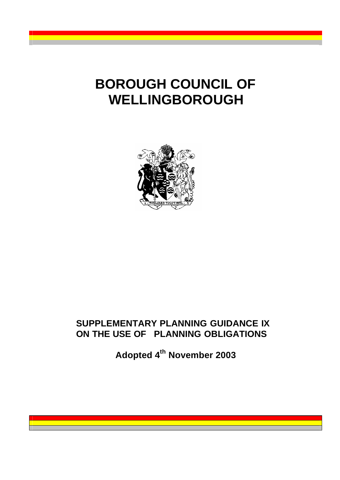# **BOROUGH COUNCIL OF WELLINGBOROUGH**



# **SUPPLEMENTARY PLANNING GUIDANCE IX ON THE USE OF PLANNING OBLIGATIONS**

**Adopted 4th November 2003**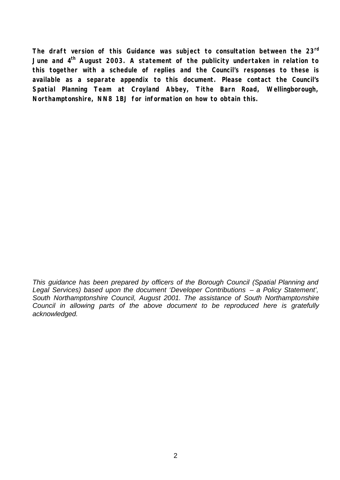**The draft version of this Guidance was subject to consultation between the 23rd June and 4th August 2003. A statement of the publicity undertaken in relation to this together with a schedule of replies and the Council's responses to these is available as a separate appendix to this document. Please contact the Council's Spatial Planning Team at Croyland Abbey, Tithe Barn Road, Wellingborough, Northamptonshire, NN8 1BJ for information on how to obtain this.** 

*This guidance has been prepared by officers of the Borough Council (Spatial Planning and Legal Services) based upon the document 'Developer Contributions – a Policy Statement', South Northamptonshire Council, August 2001. The assistance of South Northamptonshire Council in allowing parts of the above document to be reproduced here is gratefully acknowledged.*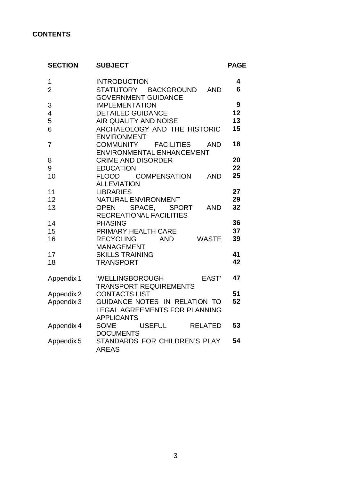#### **CONTENTS**

| <b>SECTION</b>           | <b>SUBJECT</b>                                                                          | <b>PAGE</b> |
|--------------------------|-----------------------------------------------------------------------------------------|-------------|
| 1<br>$\overline{2}$      | <b>INTRODUCTION</b><br>STATUTORY BACKGROUND<br><b>AND</b><br><b>GOVERNMENT GUIDANCE</b> | 4<br>6      |
| 3                        | <b>IMPLEMENTATION</b>                                                                   | 9           |
| $\overline{\mathcal{A}}$ | <b>DETAILED GUIDANCE</b>                                                                | 12          |
| 5                        | AIR QUALITY AND NOISE                                                                   | 13          |
| 6                        | ARCHAEOLOGY AND THE HISTORIC                                                            | 15          |
|                          | <b>ENVIRONMENT</b>                                                                      |             |
| 7                        | COMMUNITY FACILITIES AND                                                                | 18          |
|                          | ENVIRONMENTAL ENHANCEMENT                                                               |             |
| 8                        | <b>CRIME AND DISORDER</b>                                                               | 20          |
| 9                        | <b>EDUCATION</b>                                                                        | 22          |
| 10                       | COMPENSATION<br><b>FLOOD</b><br>AND<br><b>ALLEVIATION</b>                               | 25          |
| 11                       | <b>LIBRARIES</b>                                                                        | 27          |
| 12                       | NATURAL ENVIRONMENT                                                                     | 29          |
| 13                       | OPEN SPACE, SPORT<br>AND<br><b>RECREATIONAL FACILITIES</b>                              | 32          |
| 14                       | <b>PHASING</b>                                                                          | 36          |
| 15                       | PRIMARY HEALTH CARE                                                                     | 37          |
| 16                       | <b>WASTE</b><br><b>RECYCLING</b><br>AND                                                 | 39          |
|                          | <b>MANAGEMENT</b>                                                                       | 41          |
| 17<br>18                 | <b>SKILLS TRAINING</b><br><b>TRANSPORT</b>                                              | 42          |
|                          |                                                                                         |             |
| Appendix 1               | EAST'<br>'WELLINGBOROUGH                                                                | 47          |
|                          | <b>TRANSPORT REQUIREMENTS</b>                                                           |             |
| Appendix 2               | <b>CONTACTS LIST</b>                                                                    | 51          |
| Appendix 3               | GUIDANCE NOTES IN RELATION TO                                                           | 52          |
|                          | LEGAL AGREEMENTS FOR PLANNING<br><b>APPLICANTS</b>                                      |             |
|                          | USEFUL RELATED<br><b>SOME</b>                                                           | 53          |
| Appendix 4               | <b>DOCUMENTS</b>                                                                        |             |
| Appendix 5               | STANDARDS FOR CHILDREN'S PLAY                                                           | 54          |
|                          | <b>AREAS</b>                                                                            |             |
|                          |                                                                                         |             |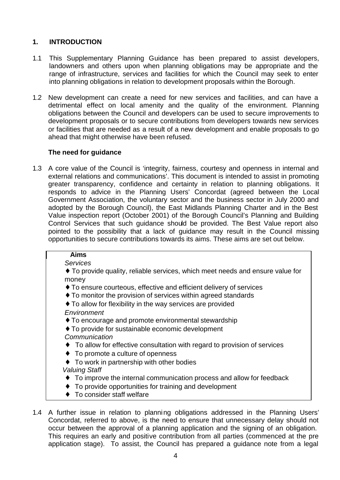#### **1. INTRODUCTION**

- 1.1 This Supplementary Planning Guidance has been prepared to assist developers, landowners and others upon when planning obligations may be appropriate and the range of infrastructure, services and facilities for which the Council may seek to enter into planning obligations in relation to development proposals within the Borough.
- 1.2 New development can create a need for new services and facilities, and can have a detrimental effect on local amenity and the quality of the environment. Planning obligations between the Council and developers can be used to secure improvements to development proposals or to secure contributions from developers towards new services or facilities that are needed as a result of a new development and enable proposals to go ahead that might otherwise have been refused.

#### **The need for guidance**

1.3 A core value of the Council is 'integrity, fairness, courtesy and openness in internal and external relations and communications'. This document is intended to assist in promoting greater transparency, confidence and certainty in relation to planning obligations. It responds to advice in the Planning Users' Concordat (agreed between the Local Government Association, the voluntary sector and the business sector in July 2000 and adopted by the Borough Council), the East Midlands Planning Charter and in the Best Value inspection report (October 2001) of the Borough Council's Planning and Building Control Services that such guidance should be provided. The Best Value report also pointed to the possibility that a lack of guidance may result in the Council missing opportunities to secure contributions towards its aims. These aims are set out below.

| <b>Aims</b>                                                                             |  |  |
|-----------------------------------------------------------------------------------------|--|--|
| <b>Services</b>                                                                         |  |  |
| " To provide quality, reliable services, which meet needs and ensure value for<br>money |  |  |
| • To ensure courteous, effective and efficient delivery of services                     |  |  |
| • To monitor the provision of services within agreed standards                          |  |  |
| • To allow for flexibility in the way services are provided                             |  |  |
| Environment                                                                             |  |  |
| • To encourage and promote environmental stewardship                                    |  |  |
| • To provide for sustainable economic development                                       |  |  |
| Communication                                                                           |  |  |
| • To allow for effective consultation with regard to provision of services              |  |  |
| To promote a culture of openness                                                        |  |  |
| To work in partnership with other bodies                                                |  |  |
| <b>Valuing Staff</b>                                                                    |  |  |
| To improve the internal communication process and allow for feedback                    |  |  |
| To provide opportunities for training and development                                   |  |  |
| To consider staff welfare                                                               |  |  |

1.4 A further issue in relation to planning obligations addressed in the Planning Users' Concordat, referred to above, is the need to ensure that unnecessary delay should not occur between the approval of a planning application and the signing of an obligation. This requires an early and positive contribution from all parties (commenced at the pre application stage). To assist, the Council has prepared a guidance note from a legal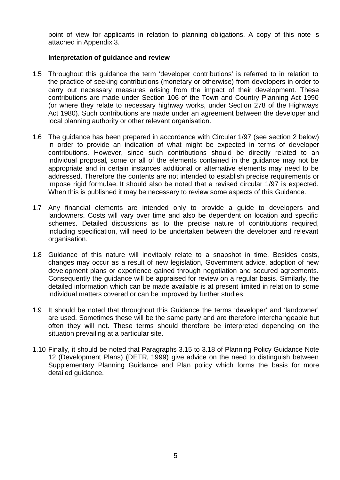point of view for applicants in relation to planning obligations. A copy of this note is attached in Appendix 3.

#### **Interpretation of guidance and review**

- 1.5 Throughout this guidance the term 'developer contributions' is referred to in relation to the practice of seeking contributions (monetary or otherwise) from developers in order to carry out necessary measures arising from the impact of their development. These contributions are made under Section 106 of the Town and Country Planning Act 1990 (or where they relate to necessary highway works, under Section 278 of the Highways Act 1980). Such contributions are made under an agreement between the developer and local planning authority or other relevant organisation.
- 1.6 The guidance has been prepared in accordance with Circular 1/97 (see section 2 below) in order to provide an indication of what might be expected in terms of developer contributions. However, since such contributions should be directly related to an individual proposal, some or all of the elements contained in the guidance may not be appropriate and in certain instances additional or alternative elements may need to be addressed. Therefore the contents are not intended to establish precise requirements or impose rigid formulae. It should also be noted that a revised circular 1/97 is expected. When this is published it may be necessary to review some aspects of this Guidance.
- 1.7 Any financial elements are intended only to provide a guide to developers and landowners. Costs will vary over time and also be dependent on location and specific schemes. Detailed discussions as to the precise nature of contributions required, including specification, will need to be undertaken between the developer and relevant organisation.
- 1.8 Guidance of this nature will inevitably relate to a snapshot in time. Besides costs, changes may occur as a result of new legislation, Government advice, adoption of new development plans or experience gained through negotiation and secured agreements. Consequently the guidance will be appraised for review on a regular basis. Similarly, the detailed information which can be made available is at present limited in relation to some individual matters covered or can be improved by further studies.
- 1.9 It should be noted that throughout this Guidance the terms 'developer' and 'landowner' are used. Sometimes these will be the same party and are therefore interchangeable but often they will not. These terms should therefore be interpreted depending on the situation prevailing at a particular site.
- 1.10 Finally, it should be noted that Paragraphs 3.15 to 3.18 of Planning Policy Guidance Note 12 (Development Plans) (DETR, 1999) give advice on the need to distinguish between Supplementary Planning Guidance and Plan policy which forms the basis for more detailed guidance.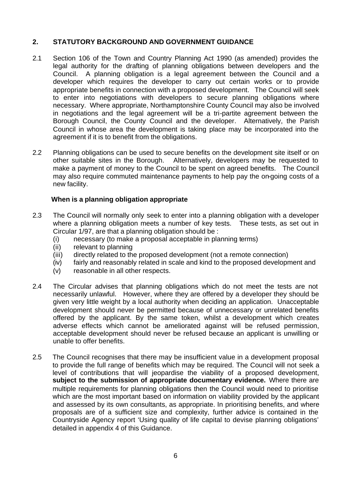#### **2. STATUTORY BACKGROUND AND GOVERNMENT GUIDANCE**

- 2.1 Section 106 of the Town and Country Planning Act 1990 (as amended) provides the legal authority for the drafting of planning obligations between developers and the Council. A planning obligation is a legal agreement between the Council and a developer which requires the developer to carry out certain works or to provide appropriate benefits in connection with a proposed development. The Council will seek to enter into negotiations with developers to secure planning obligations where necessary. Where appropriate, Northamptonshire County Council may also be involved in negotiations and the legal agreement will be a tri-partite agreement between the Borough Council, the County Council and the developer. Alternatively, the Parish Council in whose area the development is taking place may be incorporated into the agreement if it is to benefit from the obligations.
- 2.2 Planning obligations can be used to secure benefits on the development site itself or on other suitable sites in the Borough. Alternatively, developers may be requested to make a payment of money to the Council to be spent on agreed benefits. The Council may also require commuted maintenance payments to help pay the on-going costs of a new facility.

#### **When is a planning obligation appropriate**

- 2.3 The Council will normally only seek to enter into a planning obligation with a developer where a planning obligation meets a number of key tests. These tests, as set out in Circular 1/97, are that a planning obligation should be :
	- (i) necessary (to make a proposal acceptable in planning terms)
	- (ii) relevant to planning
	- (iii) directly related to the proposed development (not a remote connection)
	- (iv) fairly and reasonably related in scale and kind to the proposed development and
	- (v) reasonable in all other respects.
- 2.4 The Circular advises that planning obligations which do not meet the tests are not necessarily unlawful. However, where they are offered by a developer they should be given very little weight by a local authority when deciding an application. Unacceptable development should never be permitted because of unnecessary or unrelated benefits offered by the applicant. By the same token, whilst a development which creates adverse effects which cannot be ameliorated against will be refused permission, acceptable development should never be refused because an applicant is unwilling or unable to offer benefits.
- 2.5 The Council recognises that there may be insufficient value in a development proposal to provide the full range of benefits which may be required. The Council will not seek a level of contributions that will jeopardise the viability of a proposed development, **subject to the submission of appropriate documentary evidence.** Where there are multiple requirements for planning obligations then the Council would need to prioritise which are the most important based on information on viability provided by the applicant and assessed by its own consultants, as appropriate. In prioritising benefits, and where proposals are of a sufficient size and complexity, further advice is contained in the Countryside Agency report 'Using quality of life capital to devise planning obligations' detailed in appendix 4 of this Guidance.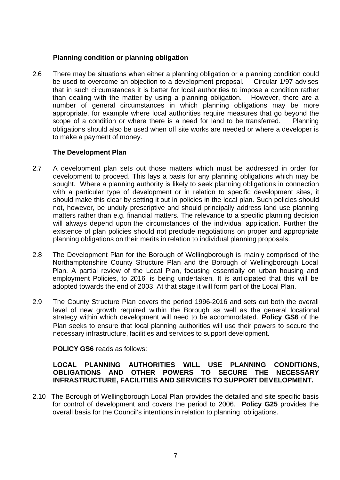#### **Planning condition or planning obligation**

2.6 There may be situations when either a planning obligation or a planning condition could be used to overcome an objection to a development proposal. Circular 1/97 advises that in such circumstances it is better for local authorities to impose a condition rather than dealing with the matter by using a planning obligation. However, there are a number of general circumstances in which planning obligations may be more appropriate, for example where local authorities require measures that go beyond the scope of a condition or where there is a need for land to be transferred. Planning obligations should also be used when off site works are needed or where a developer is to make a payment of money.

#### **The Development Plan**

- 2.7 A development plan sets out those matters which must be addressed in order for development to proceed. This lays a basis for any planning obligations which may be sought. Where a planning authority is likely to seek planning obligations in connection with a particular type of development or in relation to specific development sites, it should make this clear by setting it out in policies in the local plan. Such policies should not, however, be unduly prescriptive and should principally address land use planning matters rather than e.g. financial matters. The relevance to a specific planning decision will always depend upon the circumstances of the individual application. Further the existence of plan policies should not preclude negotiations on proper and appropriate planning obligations on their merits in relation to individual planning proposals.
- 2.8 The Development Plan for the Borough of Wellingborough is mainly comprised of the Northamptonshire County Structure Plan and the Borough of Wellingborough Local Plan. A partial review of the Local Plan, focusing essentially on urban housing and employment Policies, to 2016 is being undertaken. It is anticipated that this will be adopted towards the end of 2003. At that stage it will form part of the Local Plan.
- 2.9 The County Structure Plan covers the period 1996-2016 and sets out both the overall level of new growth required within the Borough as well as the general locational strategy within which development will need to be accommodated. **Policy GS6** of the Plan seeks to ensure that local planning authorities will use their powers to secure the necessary infrastructure, facilities and services to support development.

#### **POLICY GS6** reads as follows:

#### **LOCAL PLANNING AUTHORITIES WILL USE PLANNING CONDITIONS, OBLIGATIONS AND OTHER POWERS TO SECURE THE NECESSARY INFRASTRUCTURE, FACILITIES AND SERVICES TO SUPPORT DEVELOPMENT.**

2.10 The Borough of Wellingborough Local Plan provides the detailed and site specific basis for control of development and covers the period to 2006. **Policy G25** provides the overall basis for the Council's intentions in relation to planning obligations.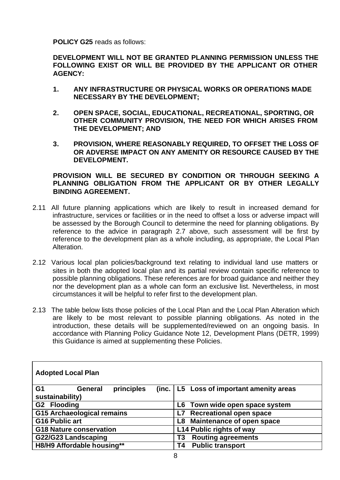**POLICY G25** reads as follows:

**DEVELOPMENT WILL NOT BE GRANTED PLANNING PERMISSION UNLESS THE FOLLOWING EXIST OR WILL BE PROVIDED BY THE APPLICANT OR OTHER AGENCY:**

- **1. ANY INFRASTRUCTURE OR PHYSICAL WORKS OR OPERATIONS MADE NECESSARY BY THE DEVELOPMENT;**
- **2. OPEN SPACE, SOCIAL, EDUCATIONAL, RECREATIONAL, SPORTING, OR OTHER COMMUNITY PROVISION, THE NEED FOR WHICH ARISES FROM THE DEVELOPMENT; AND**
- **3. PROVISION, WHERE REASONABLY REQUIRED, TO OFFSET THE LOSS OF OR ADVERSE IMPACT ON ANY AMENITY OR RESOURCE CAUSED BY THE DEVELOPMENT.**

#### **PROVISION WILL BE SECURED BY CONDITION OR THROUGH SEEKING A PLANNING OBLIGATION FROM THE APPLICANT OR BY OTHER LEGALLY BINDING AGREEMENT.**

- 2.11 All future planning applications which are likely to result in increased demand for infrastructure, services or facilities or in the need to offset a loss or adverse impact will be assessed by the Borough Council to determine the need for planning obligations. By reference to the advice in paragraph 2.7 above, such assessment will be first by reference to the development plan as a whole including, as appropriate, the Local Plan Alteration.
- 2.12 Various local plan policies/background text relating to individual land use matters or sites in both the adopted local plan and its partial review contain specific reference to possible planning obligations. These references are for broad guidance and neither they nor the development plan as a whole can form an exclusive list. Nevertheless, in most circumstances it will be helpful to refer first to the development plan.
- 2.13 The table below lists those policies of the Local Plan and the Local Plan Alteration which are likely to be most relevant to possible planning obligations. As noted in the introduction, these details will be supplemented/reviewed on an ongoing basis. In accordance with Planning Policy Guidance Note 12, Development Plans (DETR, 1999) this Guidance is aimed at supplementing these Policies.

| <b>Adopted Local Plan</b>                      |                                            |  |  |  |
|------------------------------------------------|--------------------------------------------|--|--|--|
| G <sub>1</sub><br>principles<br><b>General</b> | (inc.   L5 Loss of important amenity areas |  |  |  |
| sustainability)                                |                                            |  |  |  |
| G2 Flooding                                    | Town wide open space system<br>L6          |  |  |  |
| <b>G15 Archaeological remains</b>              | <b>Recreational open space</b><br>L7       |  |  |  |
| <b>G16 Public art</b>                          | Maintenance of open space<br>L8            |  |  |  |
| <b>G18 Nature conservation</b>                 | L14 Public rights of way                   |  |  |  |
| G22/G23 Landscaping                            | <b>Routing agreements</b><br>Τ3            |  |  |  |
| H8/H9 Affordable housing**                     | <b>Public transport</b><br>Τ4              |  |  |  |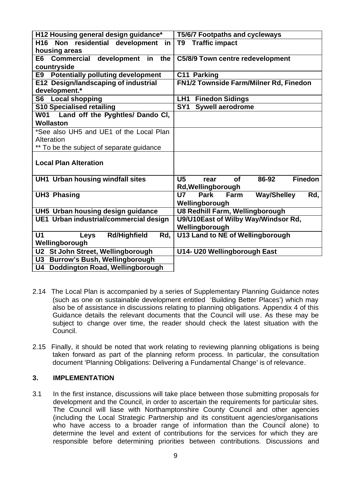| H12 Housing general design guidance*                 | <b>T5/6/7 Footpaths and cycleways</b>                          |
|------------------------------------------------------|----------------------------------------------------------------|
| H16 Non residential development<br>in                | <b>Traffic impact</b><br>T9                                    |
| housing areas                                        |                                                                |
| <b>Commercial</b><br>development<br>the<br>E6<br>in  | C5/8/9 Town centre redevelopment                               |
| countryside                                          |                                                                |
| <b>Potentially polluting development</b><br>E9       | C11 Parking                                                    |
| E12 Design/landscaping of industrial                 | FN1/2 Townside Farm/Milner Rd, Finedon                         |
| development.*                                        |                                                                |
| <b>S6</b> Local shopping                             | <b>Finedon Sidings</b><br>LH1                                  |
| <b>S10 Specialised retailing</b>                     | SY <sub>1</sub><br><b>Sywell aerodrome</b>                     |
| W01 Land off the Pyghtles/ Dando CI,                 |                                                                |
| <b>Wollaston</b>                                     |                                                                |
| *See also UH5 and UE1 of the Local Plan              |                                                                |
| Alteration                                           |                                                                |
| ** To be the subject of separate guidance            |                                                                |
| <b>Local Plan Alteration</b>                         |                                                                |
| <b>UH1 Urban housing windfall sites</b>              | <b>Finedon</b><br>U <sub>5</sub><br>86-92<br><b>of</b><br>rear |
|                                                      | Rd, Wellingborough                                             |
| <b>UH3 Phasing</b>                                   | <b>Park</b><br>Farm<br><b>Way/Shelley</b><br><b>U7</b><br>Rd,  |
|                                                      | Wellingborough                                                 |
| UH5 Urban housing design guidance                    | <b>U8 Redhill Farm, Wellingborough</b>                         |
| UE1 Urban industrial/commercial design               | U9/U10East of Wilby Way/Windsor Rd,                            |
|                                                      | Wellingborough                                                 |
| U <sub>1</sub><br><b>Rd/Highfield</b><br>Rd,<br>Leys | <b>U13 Land to NE of Wellingborough</b>                        |
| Wellingborough                                       |                                                                |
| U2 St John Street, Wellingborough                    | U14- U20 Wellingborough East                                   |
| <b>Burrow's Bush, Wellingborough</b><br>U3           |                                                                |
| Doddington Road, Wellingborough<br><b>U4</b>         |                                                                |

- 2.14 The Local Plan is accompanied by a series of Supplementary Planning Guidance notes (such as one on sustainable development entitled 'Building Better Places') which may also be of assistance in discussions relating to planning obligations. Appendix 4 of this Guidance details the relevant documents that the Council will use. As these may be subject to change over time, the reader should check the latest situation with the Council.
- 2.15 Finally, it should be noted that work relating to reviewing planning obligations is being taken forward as part of the planning reform process. In particular, the consultation document 'Planning Obligations: Delivering a Fundamental Change' is of relevance.

#### **3. IMPLEMENTATION**

3.1 In the first instance, discussions will take place between those submitting proposals for development and the Council, in order to ascertain the requirements for particular sites. The Council will liase with Northamptonshire County Council and other agencies (including the Local Strategic Partnership and its constituent agencies/organisations who have access to a broader range of information than the Council alone) to determine the level and extent of contributions for the services for which they are responsible before determining priorities between contributions. Discussions and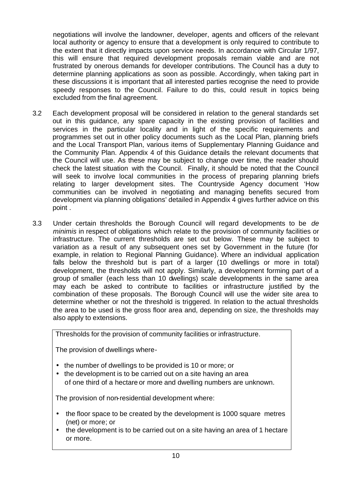negotiations will involve the landowner, developer, agents and officers of the relevant local authority or agency to ensure that a development is only required to contribute to the extent that it directly impacts upon service needs. In accordance with Circular 1/97, this will ensure that required development proposals remain viable and are not frustrated by onerous demands for developer contributions. The Council has a duty to determine planning applications as soon as possible. Accordingly, when taking part in these discussions it is important that all interested parties recognise the need to provide speedy responses to the Council. Failure to do this, could result in topics being excluded from the final agreement.

- 3.2 Each development proposal will be considered in relation to the general standards set out in this guidance, any spare capacity in the existing provision of facilities and services in the particular locality and in light of the specific requirements and programmes set out in other policy documents such as the Local Plan, planning briefs and the Local Transport Plan, various items of Supplementary Planning Guidance and the Community Plan. Appendix 4 of this Guidance details the relevant documents that the Council will use. As these may be subject to change over time, the reader should check the latest situation with the Council. Finally, it should be noted that the Council will seek to involve local communities in the process of preparing planning briefs relating to larger development sites. The Countryside Agency document 'How communities can be involved in negotiating and managing benefits secured from development via planning obligations' detailed in Appendix 4 gives further advice on this point .
- 3.3 Under certain thresholds the Borough Council will regard developments to be *de minimis* in respect of obligations which relate to the provision of community facilities or infrastructure. The current thresholds are set out below. These may be subject to variation as a result of any subsequent ones set by Government in the future (for example, in relation to Regional Planning Guidance). Where an individual application falls below the threshold but is part of a larger (10 dwellings or more in total) development, the thresholds will not apply. Similarly, a development forming part of a group of smaller (each less than 10 dwellings) scale developments in the same area may each be asked to contribute to facilities or infrastructure justified by the combination of these proposals. The Borough Council will use the wider site area to determine whether or not the threshold is triggered. In relation to the actual thresholds the area to be used is the gross floor area and, depending on size, the thresholds may also apply to extensions.

Thresholds for the provision of community facilities or infrastructure.

The provision of dwellings where-

- the number of dwellings to be provided is 10 or more; or
- the development is to be carried out on a site having an area of one third of a hectare or more and dwelling numbers are unknown.

The provision of non-residential development where:

- the floor space to be created by the development is 1000 square metres (net) or more; or
- the development is to be carried out on a site having an area of 1 hectare or more.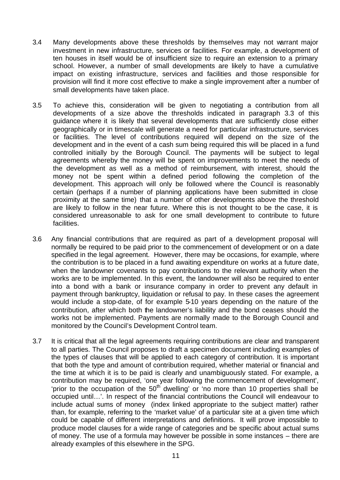- 3.4 Many developments above these thresholds by themselves may not warrant major investment in new infrastructure, services or facilities. For example, a development of ten houses in itself would be of insufficient size to require an extension to a primary school. However, a number of small developments are likely to have a cumulative impact on existing infrastructure, services and facilities and those responsible for provision will find it more cost effective to make a single improvement after a number of small developments have taken place.
- 3.5 To achieve this, consideration will be given to negotiating a contribution from all developments of a size above the thresholds indicated in paragraph 3.3 of this guidance where it is likely that several developments that are sufficiently close either geographically or in timescale will generate a need for particular infrastructure, services or facilities. The level of contributions required will depend on the size of the development and in the event of a cash sum being required this will be placed in a fund controlled initially by the Borough Council. The payments will be subject to legal agreements whereby the money will be spent on improvements to meet the needs of the development as well as a method of reimbursement, with interest, should the money not be spent within a defined period following the completion of the development. This approach will only be followed where the Council is reasonably certain (perhaps if a number of planning applications have been submitted in close proximity at the same time) that a number of other developments above the threshold are likely to follow in the near future. Where this is not thought to be the case, it is considered unreasonable to ask for one small development to contribute to future facilities.
- 3.6 Any financial contributions that are required as part of a development proposal will normally be required to be paid prior to the commencement of development or on a date specified in the legal agreement. However, there may be occasions, for example, where the contribution is to be placed in a fund awaiting expenditure on works at a future date, when the landowner covenants to pay contributions to the relevant authority when the works are to be implemented. In this event, the landowner will also be required to enter into a bond with a bank or insurance company in order to prevent any default in payment through bankruptcy, liquidation or refusal to pay. In these cases the agreement would include a stop-date, of for example 5-10 years depending on the nature of the contribution, after which both the landowner's liability and the bond ceases should the works not be implemented. Payments are normally made to the Borough Council and monitored by the Council's Development Control team.
- 3.7 It is critical that all the legal agreements requiring contributions are clear and transparent to all parties. The Council proposes to draft a specimen document including examples of the types of clauses that will be applied to each category of contribution. It is important that both the type and amount of contribution required, whether material or financial and the time at which it is to be paid is clearly and unambiguously stated. For example, a contribution may be required, 'one year following the commencement of development', 'prior to the occupation of the  $50<sup>th</sup>$  dwelling' or 'no more than 10 properties shall be occupied until…'. In respect of the financial contributions the Council will endeavour to include actual sums of money (index linked appropriate to the subject matter) rather than, for example, referring to the 'market value' of a particular site at a given time which could be capable of different interpretations and definitions. It will prove impossible to produce model clauses for a wide range of categories and be specific about actual sums of money. The use of a formula may however be possible in some instances – there are already examples of this elsewhere in the SPG.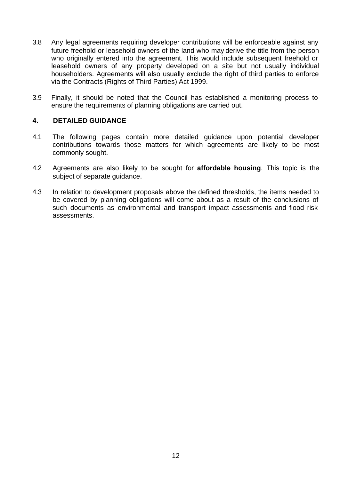- 3.8 Any legal agreements requiring developer contributions will be enforceable against any future freehold or leasehold owners of the land who may derive the title from the person who originally entered into the agreement. This would include subsequent freehold or leasehold owners of any property developed on a site but not usually individual householders. Agreements will also usually exclude the right of third parties to enforce via the Contracts (Rights of Third Parties) Act 1999.
- 3.9 Finally, it should be noted that the Council has established a monitoring process to ensure the requirements of planning obligations are carried out.

#### **4. DETAILED GUIDANCE**

- 4.1 The following pages contain more detailed guidance upon potential developer contributions towards those matters for which agreements are likely to be most commonly sought.
- 4.2 Agreements are also likely to be sought for **affordable housing**. This topic is the subject of separate guidance.
- 4.3 In relation to development proposals above the defined thresholds, the items needed to be covered by planning obligations will come about as a result of the conclusions of such documents as environmental and transport impact assessments and flood risk assessments.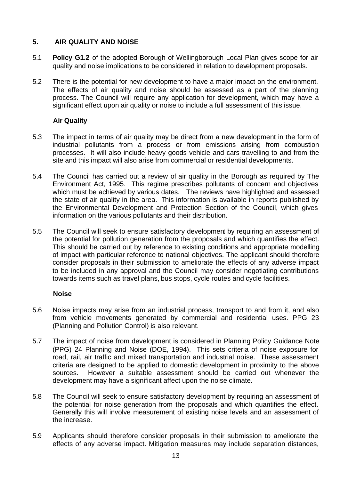#### **5. AIR QUALITY AND NOISE**

- 5.1 **Policy G1.2** of the adopted Borough of Wellingborough Local Plan gives scope for air quality and noise implications to be considered in relation to development proposals.
- 5.2 There is the potential for new development to have a major impact on the environment. The effects of air quality and noise should be assessed as a part of the planning process. The Council will require any application for development, which may have a significant effect upon air quality or noise to include a full assessment of this issue.

#### **Air Quality**

- 5.3 The impact in terms of air quality may be direct from a new development in the form of industrial pollutants from a process or from emissions arising from combustion processes. It will also include heavy goods vehicle and cars travelling to and from the site and this impact will also arise from commercial or residential developments.
- 5.4 The Council has carried out a review of air quality in the Borough as required by The Environment Act, 1995. This regime prescribes pollutants of concern and objectives which must be achieved by various dates. The reviews have highlighted and assessed the state of air quality in the area. This information is available in reports published by the Environmental Development and Protection Section of the Council, which gives information on the various pollutants and their distribution.
- 5.5 The Council will seek to ensure satisfactory development by requiring an assessment of the potential for pollution generation from the proposals and which quantifies the effect. This should be carried out by reference to existing conditions and appropriate modelling of impact with particular reference to national objectives. The applicant should therefore consider proposals in their submission to ameliorate the effects of any adverse impact to be included in any approval and the Council may consider negotiating contributions towards items such as travel plans, bus stops, cycle routes and cycle facilities.

#### **Noise**

- 5.6 Noise impacts may arise from an industrial process, transport to and from it, and also from vehicle movements generated by commercial and residential uses. PPG 23 (Planning and Pollution Control) is also relevant.
- 5.7 The impact of noise from development is considered in Planning Policy Guidance Note (PPG) 24 Planning and Noise (DOE, 1994). This sets criteria of noise exposure for road, rail, air traffic and mixed transportation and industrial noise. These assessment criteria are designed to be applied to domestic development in proximity to the above sources. However a suitable assessment should be carried out whenever the development may have a significant affect upon the noise climate.
- 5.8 The Council will seek to ensure satisfactory development by requiring an assessment of the potential for noise generation from the proposals and which quantifies the effect. Generally this will involve measurement of existing noise levels and an assessment of the increase.
- 5.9 Applicants should therefore consider proposals in their submission to ameliorate the effects of any adverse impact. Mitigation measures may include separation distances,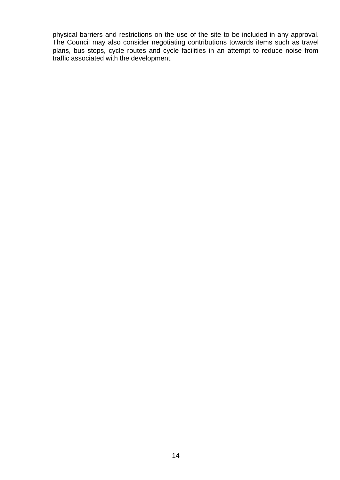physical barriers and restrictions on the use of the site to be included in any approval. The Council may also consider negotiating contributions towards items such as travel plans, bus stops, cycle routes and cycle facilities in an attempt to reduce noise from traffic associated with the development.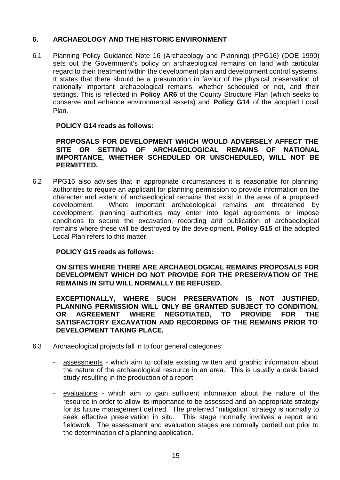#### **6. ARCHAEOLOGY AND THE HISTORIC ENVIRONMENT**

6.1 Planning Policy Guidance Note 16 (Archaeology and Planning) (PPG16) (DOE 1990) sets out the Government's policy on archaeological remains on land with particular regard to their treatment within the development plan and development control systems. It states that there should be a presumption in favour of the physical preservation of nationally important archaeological remains, whether scheduled or not, and their settings. This is reflected in **Policy AR6** of the County Structure Plan (which seeks to conserve and enhance environmental assets) and **Policy G14** of the adopted Local Plan.

#### **POLICY G14 reads as follows:**

#### **PROPOSALS FOR DEVELOPMENT WHICH WOULD ADVERSELY AFFECT THE SITE OR SETTING OF ARCHAEOLOGICAL REMAINS OF NATIONAL IMPORTANCE, WHETHER SCHEDULED OR UNSCHEDULED, WILL NOT BE PERMITTED.**

6.2 PPG16 also advises that in appropriate circumstances it is reasonable for planning authorities to require an applicant for planning permission to provide information on the character and extent of archaeological remains that exist in the area of a proposed development. Where important archaeological remains are threatened by development, planning authorities may enter into legal agreements or impose conditions to secure the excavation, recording and publication of archaeological remains where these will be destroyed by the development. **Policy G15** of the adopted Local Plan refers to this matter.

#### **POLICY G15 reads as follows:**

**ON SITES WHERE THERE ARE ARCHAEOLOGICAL REMAINS PROPOSALS FOR DEVELOPMENT WHICH DO NOT PROVIDE FOR THE PRESERVATION OF THE REMAINS IN SITU WILL NORMALLY BE REFUSED.**

**EXCEPTIONALLY, WHERE SUCH PRESERVATION IS NOT JUSTIFIED, PLANNING PERMISSION WILL ONLY BE GRANTED SUBJECT TO CONDITION, OR AGREEMENT WHERE NEGOTIATED, TO PROVIDE FOR THE SATISFACTORY EXCAVATION AND RECORDING OF THE REMAINS PRIOR TO DEVELOPMENT TAKING PLACE.**

- 6.3 Archaeological projects fall in to four general categories:
	- assessments which aim to collate existing written and graphic information about the nature of the archaeological resource in an area. This is usually a desk based study resulting in the production of a report.
	- evaluations which aim to gain sufficient information about the nature of the resource in order to allow its importance to be assessed and an appropriate strategy for its future management defined. The preferred "mitigation" strategy is normally to seek effective preservation in situ. This stage normally involves a report and fieldwork. The assessment and evaluation stages are normally carried out prior to the determination of a planning application.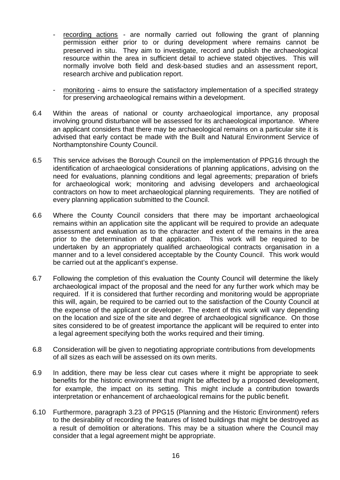- recording actions are normally carried out following the grant of planning permission either prior to or during development where remains cannot be preserved in situ. They aim to investigate, record and publish the archaeological resource within the area in sufficient detail to achieve stated objectives. This will normally involve both field and desk-based studies and an assessment report, research archive and publication report.
- monitoring aims to ensure the satisfactory implementation of a specified strategy for preserving archaeological remains within a development.
- 6.4 Within the areas of national or county archaeological importance, any proposal involving ground disturbance will be assessed for its archaeological importance. Where an applicant considers that there may be archaeological remains on a particular site it is advised that early contact be made with the Built and Natural Environment Service of Northamptonshire County Council.
- 6.5 This service advises the Borough Council on the implementation of PPG16 through the identification of archaeological considerations of planning applications, advising on the need for evaluations, planning conditions and legal agreements; preparation of briefs for archaeological work; monitoring and advising developers and archaeological contractors on how to meet archaeological planning requirements. They are notified of every planning application submitted to the Council.
- 6.6 Where the County Council considers that there may be important archaeological remains within an application site the applicant will be required to provide an adequate assessment and evaluation as to the character and extent of the remains in the area prior to the determination of that application. This work will be required to be undertaken by an appropriately qualified archaeological contracts organisation in a manner and to a level considered acceptable by the County Council. This work would be carried out at the applicant's expense.
- 6.7 Following the completion of this evaluation the County Council will determine the likely archaeological impact of the proposal and the need for any further work which may be required. If it is considered that further recording and monitoring would be appropriate this will, again, be required to be carried out to the satisfaction of the County Council at the expense of the applicant or developer. The extent of this work will vary depending on the location and size of the site and degree of archaeological significance. On those sites considered to be of greatest importance the applicant will be required to enter into a legal agreement specifying both the works required and their timing.
- 6.8 Consideration will be given to negotiating appropriate contributions from developments of all sizes as each will be assessed on its own merits.
- 6.9 In addition, there may be less clear cut cases where it might be appropriate to seek benefits for the historic environment that might be affected by a proposed development, for example, the impact on its setting. This might include a contribution towards interpretation or enhancement of archaeological remains for the public benefit.
- 6.10 Furthermore, paragraph 3.23 of PPG15 (Planning and the Historic Environment) refers to the desirability of recording the features of listed buildings that might be destroyed as a result of demolition or alterations. This may be a situation where the Council may consider that a legal agreement might be appropriate.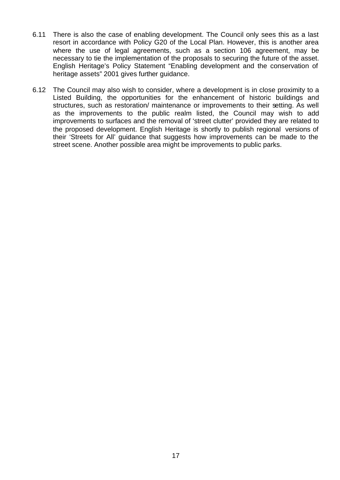- 6.11 There is also the case of enabling development. The Council only sees this as a last resort in accordance with Policy G20 of the Local Plan. However, this is another area where the use of legal agreements, such as a section 106 agreement, may be necessary to tie the implementation of the proposals to securing the future of the asset. English Heritage's Policy Statement "Enabling development and the conservation of heritage assets" 2001 gives further guidance.
- 6.12 The Council may also wish to consider, where a development is in close proximity to a Listed Building, the opportunities for the enhancement of historic buildings and structures, such as restoration/ maintenance or improvements to their setting. As well as the improvements to the public realm listed, the Council may wish to add improvements to surfaces and the removal of 'street clutter' provided they are related to the proposed development. English Heritage is shortly to publish regional versions of their 'Streets for All' guidance that suggests how improvements can be made to the street scene. Another possible area might be improvements to public parks.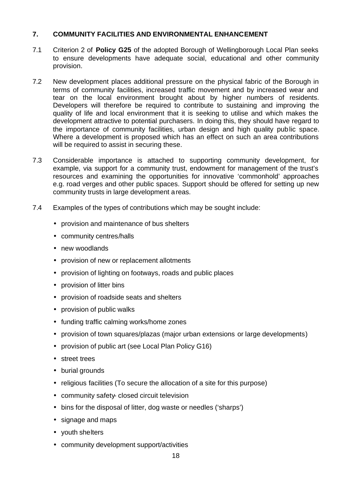#### **7. COMMUNITY FACILITIES AND ENVIRONMENTAL ENHANCEMENT**

- 7.1 Criterion 2 of **Policy G25** of the adopted Borough of Wellingborough Local Plan seeks to ensure developments have adequate social, educational and other community provision.
- 7.2 New development places additional pressure on the physical fabric of the Borough in terms of community facilities, increased traffic movement and by increased wear and tear on the local environment brought about by higher numbers of residents. Developers will therefore be required to contribute to sustaining and improving the quality of life and local environment that it is seeking to utilise and which makes the development attractive to potential purchasers. In doing this, they should have regard to the importance of community facilities, urban design and high quality public space. Where a development is proposed which has an effect on such an area contributions will be required to assist in securing these.
- 7.3 Considerable importance is attached to supporting community development, for example, via support for a community trust, endowment for management of the trust's resources and examining the opportunities for innovative 'commonhold' approaches e.g. road verges and other public spaces. Support should be offered for setting up new community trusts in large development areas.
- 7.4 Examples of the types of contributions which may be sought include:
	- provision and maintenance of bus shelters
	- community centres/halls
	- new woodlands
	- provision of new or replacement allotments
	- provision of lighting on footways, roads and public places
	- provision of litter bins
	- provision of roadside seats and shelters
	- provision of public walks
	- funding traffic calming works/home zones
	- provision of town squares/plazas (major urban extensions or large developments)
	- provision of public art (see Local Plan Policy G16)
	- street trees
	- burial grounds
	- religious facilities (To secure the allocation of a site for this purpose)
	- community safety- closed circuit television
	- bins for the disposal of litter, dog waste or needles ('sharps')
	- signage and maps
	- youth shelters
	- community development support/activities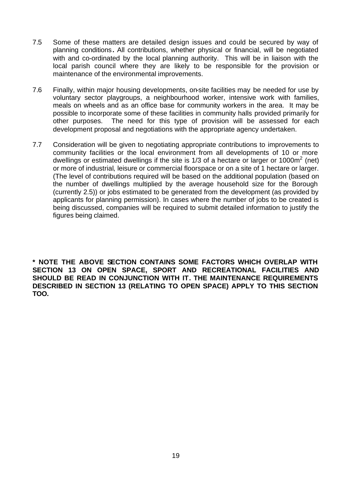- 7.5 Some of these matters are detailed design issues and could be secured by way of planning conditions**.** All contributions, whether physical or financial, will be negotiated with and co-ordinated by the local planning authority. This will be in liaison with the local parish council where they are likely to be responsible for the provision or maintenance of the environmental improvements.
- 7.6 Finally, within major housing developments, on-site facilities may be needed for use by voluntary sector playgroups, a neighbourhood worker, intensive work with families, meals on wheels and as an office base for community workers in the area. It may be possible to incorporate some of these facilities in community halls provided primarily for other purposes. The need for this type of provision will be assessed for each development proposal and negotiations with the appropriate agency undertaken.
- 7.7 Consideration will be given to negotiating appropriate contributions to improvements to community facilities or the local environment from all developments of 10 or more dwellings or estimated dwellings if the site is 1/3 of a hectare or larger or 1000 $m^2$  (net) or more of industrial, leisure or commercial floorspace or on a site of 1 hectare or larger. (The level of contributions required will be based on the additional population (based on the number of dwellings multiplied by the average household size for the Borough (currently 2.5)) or jobs estimated to be generated from the development (as provided by applicants for planning permission). In cases where the number of jobs to be created is being discussed, companies will be required to submit detailed information to justify the figures being claimed.

**\* NOTE THE ABOVE SECTION CONTAINS SOME FACTORS WHICH OVERLAP WITH SECTION 13 ON OPEN SPACE, SPORT AND RECREATIONAL FACILITIES AND SHOULD BE READ IN CONJUNCTION WITH IT. THE MAINTENANCE REQUIREMENTS DESCRIBED IN SECTION 13 (RELATING TO OPEN SPACE) APPLY TO THIS SECTION TOO.**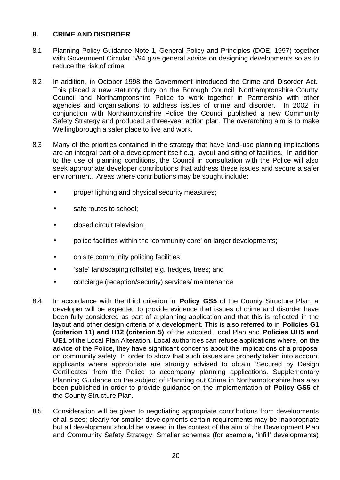#### **8. CRIME AND DISORDER**

- 8.1 Planning Policy Guidance Note 1, General Policy and Principles (DOE, 1997) together with Government Circular 5/94 give general advice on designing developments so as to reduce the risk of crime.
- 8.2 In addition, in October 1998 the Government introduced the Crime and Disorder Act. This placed a new statutory duty on the Borough Council, Northamptonshire County Council and Northamptonshire Police to work together in Partnership with other agencies and organisations to address issues of crime and disorder. In 2002, in conjunction with Northamptonshire Police the Council published a new Community Safety Strategy and produced a three-year action plan. The overarching aim is to make Wellingborough a safer place to live and work.
- 8.3 Many of the priorities contained in the strategy that have land-use planning implications are an integral part of a development itself e.g. layout and siting of facilities. In addition to the use of planning conditions, the Council in consultation with the Police will also seek appropriate developer contributions that address these issues and secure a safer environment. Areas where contributions may be sought include:
	- proper lighting and physical security measures;
	- safe routes to school;
	- closed circuit television;
	- police facilities within the 'community core' on larger developments;
	- on site community policing facilities;
	- 'safe' landscaping (offsite) e.g. hedges, trees; and
	- concierge (reception/security) services/ maintenance
- 8.4 In accordance with the third criterion in **Policy GS5** of the County Structure Plan, a developer will be expected to provide evidence that issues of crime and disorder have been fully considered as part of a planning application and that this is reflected in the layout and other design criteria of a development. This is also referred to in **Policies G1 (criterion 11) and H12 (criterion 5)** of the adopted Local Plan and **Policies UH5 and UE1** of the Local Plan Alteration. Local authorities can refuse applications where, on the advice of the Police, they have significant concerns about the implications of a proposal on community safety. In order to show that such issues are properly taken into account applicants where appropriate are strongly advised to obtain 'Secured by Design Certificates' from the Police to accompany planning applications. Supplementary Planning Guidance on the subject of Planning out Crime in Northamptonshire has also been published in order to provide guidance on the implementation of **Policy GS5** of the County Structure Plan.
- 8.5 Consideration will be given to negotiating appropriate contributions from developments of all sizes; clearly for smaller developments certain requirements may be inappropriate but all development should be viewed in the context of the aim of the Development Plan and Community Safety Strategy. Smaller schemes (for example, 'infill' developments)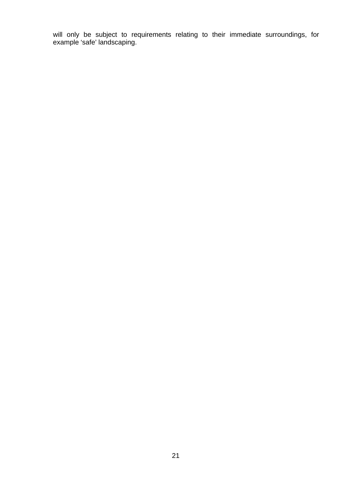will only be subject to requirements relating to their immediate surroundings, for example 'safe' landscaping.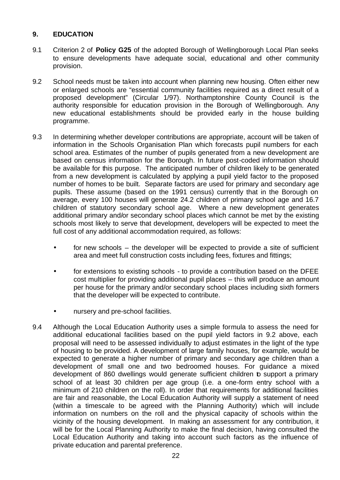#### **9. EDUCATION**

- 9.1 Criterion 2 of **Policy G25** of the adopted Borough of Wellingborough Local Plan seeks to ensure developments have adequate social, educational and other community provision.
- 9.2 School needs must be taken into account when planning new housing. Often either new or enlarged schools are "essential community facilities required as a direct result of a proposed development" (Circular 1/97). Northamptonshire County Council is the authority responsible for education provision in the Borough of Wellingborough. Any new educational establishments should be provided early in the house building programme.
- 9.3 In determining whether developer contributions are appropriate, account will be taken of information in the Schools Organisation Plan which forecasts pupil numbers for each school area. Estimates of the number of pupils generated from a new development are based on census information for the Borough. In future post-coded information should be available for this purpose. The anticipated number of children likely to be generated from a new development is calculated by applying a pupil yield factor to the proposed number of homes to be built. Separate factors are used for primary and secondary age pupils. These assume (based on the 1991 census) currently that in the Borough on average, every 100 houses will generate 24.2 children of primary school age and 16.7 children of statutory secondary school age. Where a new development generates additional primary and/or secondary school places which cannot be met by the existing schools most likely to serve that development, developers will be expected to meet the full cost of any additional accommodation required, as follows:
	- for new schools the developer will be expected to provide a site of sufficient area and meet full construction costs including fees, fixtures and fittings;
	- for extensions to existing schools to provide a contribution based on the DFEE cost multiplier for providing additional pupil places – this will produce an amount per house for the primary and/or secondary school places including sixth formers that the developer will be expected to contribute.
	- nursery and pre-school facilities.
- 9.4 Although the Local Education Authority uses a simple formula to assess the need for additional educational facilities based on the pupil yield factors in 9.2 above, each proposal will need to be assessed individually to adjust estimates in the light of the type of housing to be provided. A development of large family houses, for example, would be expected to generate a higher number of primary and secondary age children than a development of small one and two bedroomed houses. For guidance a mixed development of 860 dwellings would generate sufficient children to support a primary school of at least 30 children per age group (i.e. a one-form entry school with a minimum of 210 children on the roll). In order that requirements for additional facilities are fair and reasonable, the Local Education Authority will supply a statement of need (within a timescale to be agreed with the Planning Authority) which will include information on numbers on the roll and the physical capacity of schools within the vicinity of the housing development. In making an assessment for any contribution, it will be for the Local Planning Authority to make the final decision, having consulted the Local Education Authority and taking into account such factors as the influence of private education and parental preference.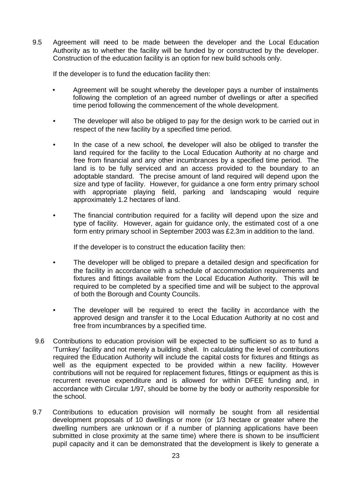9.5 Agreement will need to be made between the developer and the Local Education Authority as to whether the facility will be funded by or constructed by the developer. Construction of the education facility is an option for new build schools only.

If the developer is to fund the education facility then:

- Agreement will be sought whereby the developer pays a number of instalments following the completion of an agreed number of dwellings or after a specified time period following the commencement of the whole development.
- The developer will also be obliged to pay for the design work to be carried out in respect of the new facility by a specified time period.
- In the case of a new school, the developer will also be obliged to transfer the land required for the facility to the Local Education Authority at no charge and free from financial and any other incumbrances by a specified time period. The land is to be fully serviced and an access provided to the boundary to an adoptable standard. The precise amount of land required will depend upon the size and type of facility. However, for guidance a one form entry primary school with appropriate playing field, parking and landscaping would require approximately 1.2 hectares of land.
- The financial contribution required for a facility will depend upon the size and type of facility. However, again for guidance only, the estimated cost of a one form entry primary school in September 2003 was £2.3m in addition to the land.

If the developer is to construct the education facility then:

- The developer will be obliged to prepare a detailed design and specification for the facility in accordance with a schedule of accommodation requirements and fixtures and fittings available from the Local Education Authority. This will be required to be completed by a specified time and will be subject to the approval of both the Borough and County Councils.
- The developer will be required to erect the facility in accordance with the approved design and transfer it to the Local Education Authority at no cost and free from incumbrances by a specified time.
- 9.6 Contributions to education provision will be expected to be sufficient so as to fund a 'Turnkey' facility and not merely a building shell. In calculating the level of contributions required the Education Authority will include the capital costs for fixtures and fittings as well as the equipment expected to be provided within a new facility. However contributions will not be required for replacement fixtures, fittings or equipment as this is recurrent revenue expenditure and is allowed for within DFEE funding and, in accordance with Circular 1/97, should be borne by the body or authority responsible for the school.
- 9.7 Contributions to education provision will normally be sought from all residential development proposals of 10 dwellings or more (or 1/3 hectare or greater where the dwelling numbers are unknown or if a number of planning applications have been submitted in close proximity at the same time) where there is shown to be insufficient pupil capacity and it can be demonstrated that the development is likely to generate a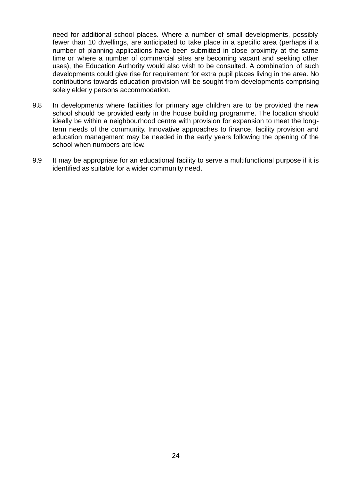need for additional school places. Where a number of small developments, possibly fewer than 10 dwellings, are anticipated to take place in a specific area (perhaps if a number of planning applications have been submitted in close proximity at the same time or where a number of commercial sites are becoming vacant and seeking other uses), the Education Authority would also wish to be consulted. A combination of such developments could give rise for requirement for extra pupil places living in the area. No contributions towards education provision will be sought from developments comprising solely elderly persons accommodation.

- 9.8 In developments where facilities for primary age children are to be provided the new school should be provided early in the house building programme. The location should ideally be within a neighbourhood centre with provision for expansion to meet the longterm needs of the community. Innovative approaches to finance, facility provision and education management may be needed in the early years following the opening of the school when numbers are low.
- 9.9 It may be appropriate for an educational facility to serve a multifunctional purpose if it is identified as suitable for a wider community need.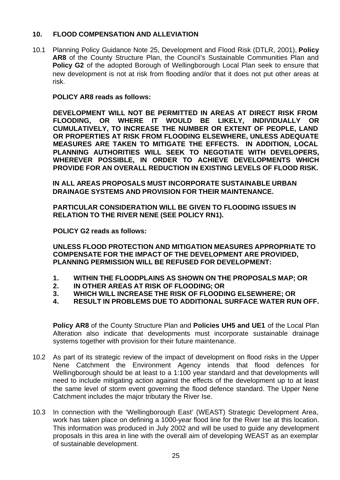#### **10. FLOOD COMPENSATION AND ALLEVIATION**

10.1 Planning Policy Guidance Note 25, Development and Flood Risk (DTLR, 2001), **Policy AR8** of the County Structure Plan, the Council's Sustainable Communities Plan and **Policy G2** of the adopted Borough of Wellingborough Local Plan seek to ensure that new development is not at risk from flooding and/or that it does not put other areas at risk.

#### **POLICY AR8 reads as follows:**

**DEVELOPMENT WILL NOT BE PERMITTED IN AREAS AT DIRECT RISK FROM FLOODING, OR WHERE IT WOULD BE LIKELY, INDIVIDUALLY OR CUMULATIVELY, TO INCREASE THE NUMBER OR EXTENT OF PEOPLE, LAND OR PROPERTIES AT RISK FROM FLOODING ELSEWHERE, UNLESS ADEQUATE MEASURES ARE TAKEN TO MITIGATE THE EFFECTS. IN ADDITION, LOCAL PLANNING AUTHORITIES WILL SEEK TO NEGOTIATE WITH DEVELOPERS, WHEREVER POSSIBLE, IN ORDER TO ACHIEVE DEVELOPMENTS WHICH PROVIDE FOR AN OVERALL REDUCTION IN EXISTING LEVELS OF FLOOD RISK.**

**IN ALL AREAS PROPOSALS MUST INCORPORATE SUSTAINABLE URBAN DRAINAGE SYSTEMS AND PROVISION FOR THEIR MAINTENANCE.** 

**PARTICULAR CONSIDERATION WILL BE GIVEN TO FLOODING ISSUES IN RELATION TO THE RIVER NENE (SEE POLICY RN1).**

**POLICY G2 reads as follows:**

**UNLESS FLOOD PROTECTION AND MITIGATION MEASURES APPROPRIATE TO COMPENSATE FOR THE IMPACT OF THE DEVELOPMENT ARE PROVIDED, PLANNING PERMISSION WILL BE REFUSED FOR DEVELOPMENT:**

- **1. WITHIN THE FLOODPLAINS AS SHOWN ON THE PROPOSALS MAP; OR**
- **2. IN OTHER AREAS AT RISK OF FLOODING; OR**
- **3. WHICH WILL INCREASE THE RISK OF FLOODING ELSEWHERE; OR**
- **4. RESULT IN PROBLEMS DUE TO ADDITIONAL SURFACE WATER RUN OFF.**

**Policy AR8** of the County Structure Plan and **Policies UH5 and UE1** of the Local Plan Alteration also indicate that developments must incorporate sustainable drainage systems together with provision for their future maintenance.

- 10.2 As part of its strategic review of the impact of development on flood risks in the Upper Nene Catchment the Environment Agency intends that flood defences for Wellingborough should be at least to a 1:100 year standard and that developments will need to include mitigating action against the effects of the development up to at least the same level of storm event governing the flood defence standard. The Upper Nene Catchment includes the major tributary the River Ise.
- 10.3 In connection with the 'Wellingborough East' (WEAST) Strategic Development Area, work has taken place on defining a 1000-year flood line for the River Ise at this location. This information was produced in July 2002 and will be used to guide any development proposals in this area in line with the overall aim of developing WEAST as an exemplar of sustainable development.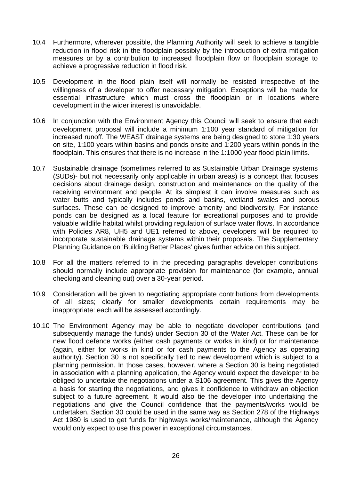- 10.4 Furthermore, wherever possible, the Planning Authority will seek to achieve a tangible reduction in flood risk in the floodplain possibly by the introduction of extra mitigation measures or by a contribution to increased floodplain flow or floodplain storage to achieve a progressive reduction in flood risk.
- 10.5 Development in the flood plain itself will normally be resisted irrespective of the willingness of a developer to offer necessary mitigation. Exceptions will be made for essential infrastructure which must cross the floodplain or in locations where development in the wider interest is unavoidable.
- 10.6 In conjunction with the Environment Agency this Council will seek to ensure that each development proposal will include a minimum 1:100 year standard of mitigation for increased runoff. The WEAST drainage systems are being designed to store 1:30 years on site, 1:100 years within basins and ponds onsite and 1:200 years within ponds in the floodplain. This ensures that there is no increase in the 1:1000 year flood plain limits.
- 10.7 Sustainable drainage (sometimes referred to as Sustainable Urban Drainage systems (SUDs)- but not necessarily only applicable in urban areas) is a concept that focuses decisions about drainage design, construction and maintenance on the quality of the receiving environment and people. At its simplest it can involve measures such as water butts and typically includes ponds and basins, wetland swales and porous surfaces. These can be designed to improve amenity and biodiversity. For instance ponds can be designed as a local feature for recreational purposes and to provide valuable wildlife habitat whilst providing regulation of surface water flows. In accordance with Policies AR8, UH5 and UE1 referred to above, developers will be required to incorporate sustainable drainage systems within their proposals. The Supplementary Planning Guidance on 'Building Better Places' gives further advice on this subject.
- 10.8 For all the matters referred to in the preceding paragraphs developer contributions should normally include appropriate provision for maintenance (for example, annual checking and cleaning out) over a 30-year period.
- 10.9 Consideration will be given to negotiating appropriate contributions from developments of all sizes; clearly for smaller developments certain requirements may be inappropriate: each will be assessed accordingly.
- 10.10 The Environment Agency may be able to negotiate developer contributions (and subsequently manage the funds) under Section 30 of the Water Act. These can be for new flood defence works (either cash payments or works in kind) or for maintenance (again, either for works in kind or for cash payments to the Agency as operating authority). Section 30 is not specifically tied to new development which is subject to a planning permission. In those cases, however, where a Section 30 is being negotiated in association with a planning application, the Agency would expect the developer to be obliged to undertake the negotiations under a S106 agreement. This gives the Agency a basis for starting the negotiations, and gives it confidence to withdraw an objection subject to a future agreement. It would also tie the developer into undertaking the negotiations and give the Council confidence that the payments/works would be undertaken. Section 30 could be used in the same way as Section 278 of the Highways Act 1980 is used to get funds for highways works/maintenance, although the Agency would only expect to use this power in exceptional circumstances.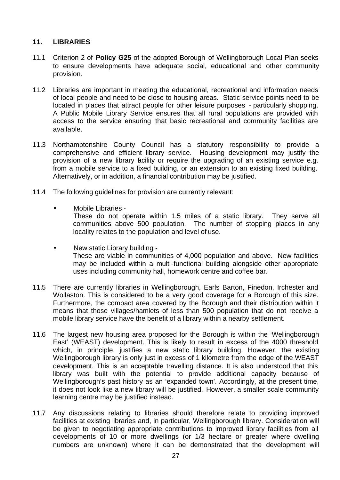#### **11. LIBRARIES**

- 11.1 Criterion 2 of **Policy G25** of the adopted Borough of Wellingborough Local Plan seeks to ensure developments have adequate social, educational and other community provision.
- 11.2 Libraries are important in meeting the educational, recreational and information needs of local people and need to be close to housing areas. Static service points need to be located in places that attract people for other leisure purposes - particularly shopping. A Public Mobile Library Service ensures that all rural populations are provided with access to the service ensuring that basic recreational and community facilities are available.
- 11.3 Northamptonshire County Council has a statutory responsibility to provide a comprehensive and efficient library service. Housing development may justify the provision of a new library facility or require the upgrading of an existing service e.g. from a mobile service to a fixed building, or an extension to an existing fixed building. Alternatively, or in addition, a financial contribution may be justified.
- 11.4 The following guidelines for provision are currently relevant:
	- Mobile Libraries
		- These do not operate within 1.5 miles of a static library. They serve all communities above 500 population. The number of stopping places in any locality relates to the population and level of use.
	- New static Library building These are viable in communities of 4,000 population and above. New facilities may be included within a multi-functional building alongside other appropriate uses including community hall, homework centre and coffee bar.
- 11.5 There are currently libraries in Wellingborough, Earls Barton, Finedon, Irchester and Wollaston. This is considered to be a very good coverage for a Borough of this size. Furthermore, the compact area covered by the Borough and their distribution within it means that those villages/hamlets of less than 500 population that do not receive a mobile library service have the benefit of a library within a nearby settlement.
- 11.6 The largest new housing area proposed for the Borough is within the 'Wellingborough East' (WEAST) development. This is likely to result in excess of the 4000 threshold which, in principle, justifies a new static library building. However, the existing Wellingborough library is only just in excess of 1 kilometre from the edge of the WEAST development. This is an acceptable travelling distance. It is also understood that this library was built with the potential to provide additional capacity because of Wellingborough's past history as an 'expanded town'. Accordingly, at the present time, it does not look like a new library will be justified. However, a smaller scale community learning centre may be justified instead.
- 11.7 Any discussions relating to libraries should therefore relate to providing improved facilities at existing libraries and, in particular, Wellingborough library. Consideration will be given to negotiating appropriate contributions to improved library facilities from all developments of 10 or more dwellings (or 1/3 hectare or greater where dwelling numbers are unknown) where it can be demonstrated that the development will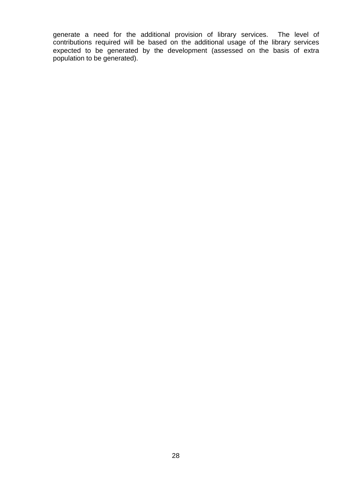generate a need for the additional provision of library services. The level of contributions required will be based on the additional usage of the library services expected to be generated by the development (assessed on the basis of extra population to be generated).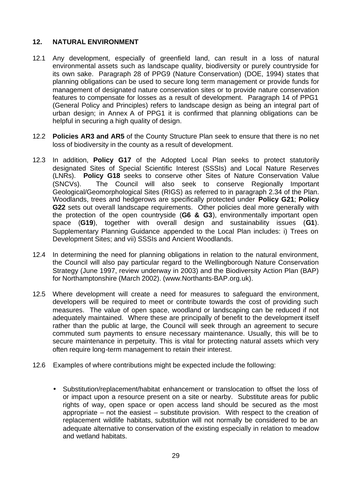#### **12. NATURAL ENVIRONMENT**

- 12.1 Any development, especially of greenfield land, can result in a loss of natural environmental assets such as landscape quality, biodiversity or purely countryside for its own sake. Paragraph 28 of PPG9 (Nature Conservation) (DOE, 1994) states that planning obligations can be used to secure long term management or provide funds for management of designated nature conservation sites or to provide nature conservation features to compensate for losses as a result of development. Paragraph 14 of PPG1 (General Policy and Principles) refers to landscape design as being an integral part of urban design; in Annex A of PPG1 it is confirmed that planning obligations can be helpful in securing a high quality of design.
- 12.2 **Policies AR3 and AR5** of the County Structure Plan seek to ensure that there is no net loss of biodiversity in the county as a result of development.
- 12.3 In addition, **Policy G17** of the Adopted Local Plan seeks to protect statutorily designated Sites of Special Scientific Interest (SSSIs) and Local Nature Reserves (LNRs). **Policy G18** seeks to conserve other Sites of Nature Conservation Value (SNCVs). The Council will also seek to conserve Regionally Important Geological/Geomorphological Sites (RIGS) as referred to in paragraph 2.34 of the Plan. Woodlands, trees and hedgerows are specifically protected under **Policy G21**; **Policy G22** sets out overall landscape requirements. Other policies deal more generally with the protection of the open countryside (**G6 & G3**), environmentally important open space (**G19**), together with overall design and sustainability issues (**G1**). Supplementary Planning Guidance appended to the Local Plan includes: i) Trees on Development Sites; and vii) SSSIs and Ancient Woodlands.
- 12.4 In determining the need for planning obligations in relation to the natural environment, the Council will also pay particular regard to the Wellingborough Nature Conservation Strategy (June 1997, review underway in 2003) and the Biodiversity Action Plan (BAP) for Northamptonshire (March 2002). (www.Northants-BAP.org.uk).
- 12.5 Where development will create a need for measures to safeguard the environment, developers will be required to meet or contribute towards the cost of providing such measures. The value of open space, woodland or landscaping can be reduced if not adequately maintained. Where these are principally of benefit to the development itself rather than the public at large, the Council will seek through an agreement to secure commuted sum payments to ensure necessary maintenance. Usually, this will be to secure maintenance in perpetuity. This is vital for protecting natural assets which very often require long-term management to retain their interest.
- 12.6 Examples of where contributions might be expected include the following:
	- Substitution/replacement/habitat enhancement or translocation to offset the loss of or impact upon a resource present on a site or nearby. Substitute areas for public rights of way, open space or open access land should be secured as the most appropriate – not the easiest – substitute provision. With respect to the creation of replacement wildlife habitats, substitution will not normally be considered to be an adequate alternative to conservation of the existing especially in relation to meadow and wetland habitats.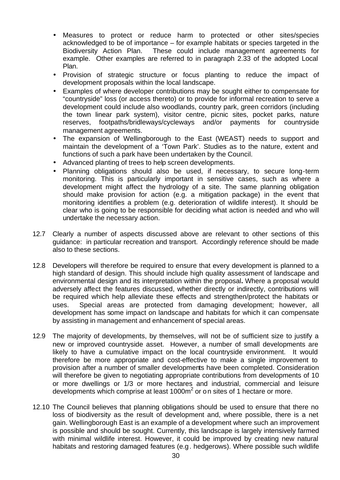- Measures to protect or reduce harm to protected or other sites/species acknowledged to be of importance – for example habitats or species targeted in the Biodiversity Action Plan. These could include management agreements for example. Other examples are referred to in paragraph 2.33 of the adopted Local Plan.
- Provision of strategic structure or focus planting to reduce the impact of development proposals within the local landscape.
- Examples of where developer contributions may be sought either to compensate for "countryside" loss (or access thereto) or to provide for informal recreation to serve a development could include also woodlands, country park, green corridors (including the town linear park system), visitor centre, picnic sites, pocket parks, nature reserves, footpaths/bridleways/cycleways and/or payments for countryside management agreements.
- The expansion of Wellingborough to the East (WEAST) needs to support and maintain the development of a 'Town Park'. Studies as to the nature, extent and functions of such a park have been undertaken by the Council.
- Advanced planting of trees to help screen developments.
- Planning obligations should also be used, if necessary, to secure long-term monitoring. This is particularly important in sensitive cases, such as where a development might affect the hydrology of a site. The same planning obligation should make provision for action (e.g. a mitigation package) in the event that monitoring identifies a problem (e.g. deterioration of wildlife interest). It should be clear who is going to be responsible for deciding what action is needed and who will undertake the necessary action.
- 12.7 Clearly a number of aspects discussed above are relevant to other sections of this guidance: in particular recreation and transport. Accordingly reference should be made also to these sections.
- 12.8 Developers will therefore be required to ensure that every development is planned to a high standard of design. This should include high quality assessment of landscape and environmental design and its interpretation within the proposal**.** Where a proposal would adversely affect the features discussed, whether directly or indirectly, contributions will be required which help alleviate these effects and strengthen/protect the habitats or uses. Special areas are protected from damaging development; however, all development has some impact on landscape and habitats for which it can compensate by assisting in management and enhancement of special areas.
- 12.9 The majority of developments, by themselves, will not be of sufficient size to justify a new or improved countryside asset. However, a number of small developments are likely to have a cumulative impact on the local countryside environment. It would therefore be more appropriate and cost-effective to make a single improvement to provision after a number of smaller developments have been completed. Consideration will therefore be given to negotiating appropriate contributions from developments of 10 or more dwellings or 1/3 or more hectares and industrial, commercial and leisure developments which comprise at least 1000m<sup>2</sup> or on sites of 1 hectare or more.
- 12.10 The Council believes that planning obligations should be used to ensure that there no loss of biodiversity as the result of development and, where possible, there is a net gain. Wellingborough East is an example of a development where such an improvement is possible and should be sought. Currently, this landscape is largely intensively farmed with minimal wildlife interest. However, it could be improved by creating new natural habitats and restoring damaged features (e.g. hedgerows). Where possible such wildlife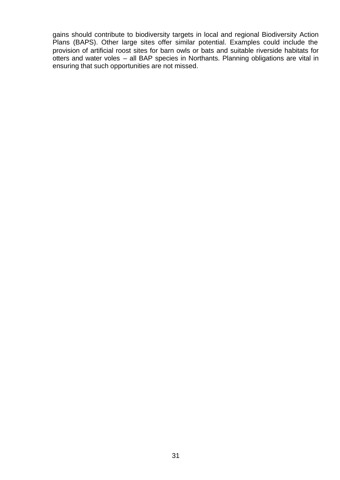gains should contribute to biodiversity targets in local and regional Biodiversity Action Plans (BAPS). Other large sites offer similar potential. Examples could include the provision of artificial roost sites for barn owls or bats and suitable riverside habitats for otters and water voles – all BAP species in Northants. Planning obligations are vital in ensuring that such opportunities are not missed.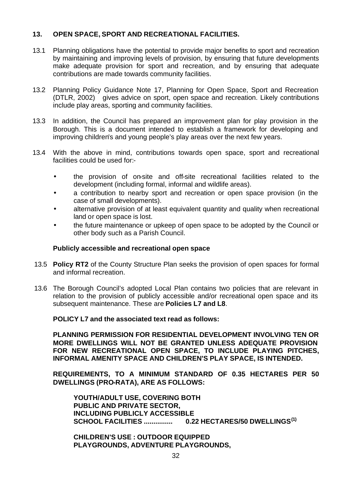#### **13. OPEN SPACE, SPORT AND RECREATIONAL FACILITIES.**

- 13.1 Planning obligations have the potential to provide major benefits to sport and recreation by maintaining and improving levels of provision, by ensuring that future developments make adequate provision for sport and recreation, and by ensuring that adequate contributions are made towards community facilities.
- 13.2 Planning Policy Guidance Note 17, Planning for Open Space, Sport and Recreation (DTLR, 2002) gives advice on sport, open space and recreation. Likely contributions include play areas, sporting and community facilities.
- 13.3 In addition, the Council has prepared an improvement plan for play provision in the Borough. This is a document intended to establish a framework for developing and improving children's and young people's play areas over the next few years.
- 13.4 With the above in mind, contributions towards open space, sport and recreational facilities could be used for:-
	- the provision of on-site and off-site recreational facilities related to the development (including formal, informal and wildlife areas).
	- a contribution to nearby sport and recreation or open space provision (in the case of small developments).
	- alternative provision of at least equivalent quantity and quality when recreational land or open space is lost.
	- the future maintenance or upkeep of open space to be adopted by the Council or other body such as a Parish Council.

#### **Publicly accessible and recreational open space**

- 13.5 **Policy RT2** of the County Structure Plan seeks the provision of open spaces for formal and informal recreation.
- 13.6 The Borough Council's adopted Local Plan contains two policies that are relevant in relation to the provision of publicly accessible and/or recreational open space and its subsequent maintenance. These are **Policies L7 and L8**.

**POLICY L7 and the associated text read as follows:**

**PLANNING PERMISSION FOR RESIDENTIAL DEVELOPMENT INVOLVING TEN OR MORE DWELLINGS WILL NOT BE GRANTED UNLESS ADEQUATE PROVISION FOR NEW RECREATIONAL OPEN SPACE, TO INCLUDE PLAYING PITCHES, INFORMAL AMENITY SPACE AND CHILDREN'S PLAY SPACE, IS INTENDED.**

**REQUIREMENTS, TO A MINIMUM STANDARD OF 0.35 HECTARES PER 50 DWELLINGS (PRO-RATA), ARE AS FOLLOWS:**

**YOUTH/ADULT USE, COVERING BOTH PUBLIC AND PRIVATE SECTOR, INCLUDING PUBLICLY ACCESSIBLE SCHOOL FACILITIES ............... 0.22 HECTARES/50 DWELLINGS(1)**

**CHILDREN'S USE : OUTDOOR EQUIPPED PLAYGROUNDS, ADVENTURE PLAYGROUNDS,**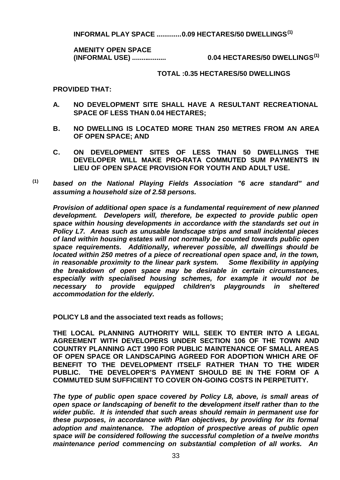**INFORMAL PLAY SPACE .............0.09 HECTARES/50 DWELLINGS(1)**

**AMENITY OPEN SPACE**

**(INFORMAL USE) .................. 0.04 HECTARES/50 DWELLINGS(1)**

#### **TOTAL :0.35 HECTARES/50 DWELLINGS**

**PROVIDED THAT:**

- **A. NO DEVELOPMENT SITE SHALL HAVE A RESULTANT RECREATIONAL SPACE OF LESS THAN 0.04 HECTARES;**
- **B. NO DWELLING IS LOCATED MORE THAN 250 METRES FROM AN AREA OF OPEN SPACE; AND**
- **C. ON DEVELOPMENT SITES OF LESS THAN 50 DWELLINGS THE DEVELOPER WILL MAKE PRO-RATA COMMUTED SUM PAYMENTS IN LIEU OF OPEN SPACE PROVISION FOR YOUTH AND ADULT USE.**
- **(1)** *based on the National Playing Fields Association "6 acre standard" and assuming a household size of 2.58 persons.*

*Provision of additional open space is a fundamental requirement of new planned development. Developers will, therefore, be expected to provide public open space within housing developments in accordance with the standards set out in Policy L7. Areas such as unusable landscape strips and small incidental pieces of land within housing estates will not normally be counted towards public open space requirements. Additionally, wherever possible, all dwellings should be located within 250 metres of a piece of recreational open space and, in the town, in reasonable proximity to the linear park system. Some flexibility in applying the breakdown of open space may be desirable in certain circumstances, especially with specialised housing schemes, for example it would not be necessary to provide equipped children's playgrounds in sheltered accommodation for the elderly.*

**POLICY L8 and the associated text reads as follows;**

**THE LOCAL PLANNING AUTHORITY WILL SEEK TO ENTER INTO A LEGAL AGREEMENT WITH DEVELOPERS UNDER SECTION 106 OF THE TOWN AND COUNTRY PLANNING ACT 1990 FOR PUBLIC MAINTENANCE OF SMALL AREAS OF OPEN SPACE OR LANDSCAPING AGREED FOR ADOPTION WHICH ARE OF BENEFIT TO THE DEVELOPMENT ITSELF RATHER THAN TO THE WIDER PUBLIC. THE DEVELOPER'S PAYMENT SHOULD BE IN THE FORM OF A COMMUTED SUM SUFFICIENT TO COVER ON-GOING COSTS IN PERPETUITY.**

*The type of public open space covered by Policy L8, above, is small areas of open space or landscaping of benefit to the development itself rather than to the wider public. It is intended that such areas should remain in permanent use for these purposes, in accordance with Plan objectives, by providing for its formal adoption and maintenance. The adoption of prospective areas of public open space will be considered following the successful completion of a twelve months maintenance period commencing on substantial completion of all works. An*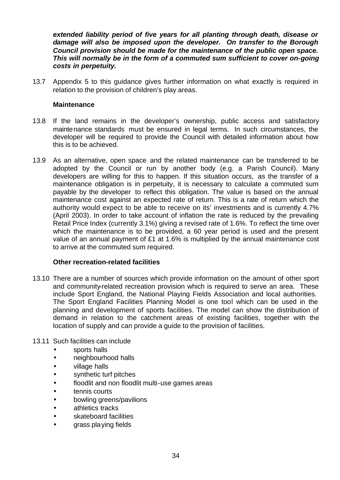*extended liability period of five years for all planting through death, disease or damage will also be imposed upon the developer. On transfer to the Borough Council provision should be made for the maintenance of the public open space. This will normally be in the form of a commuted sum sufficient to cover on-going costs in perpetuity.*

13.7 Appendix 5 to this guidance gives further information on what exactly is required in relation to the provision of children's play areas.

#### **Maintenance**

- 13.8 If the land remains in the developer's ownership, public access and satisfactory maintenance standards must be ensured in legal terms. In such circumstances, the developer will be required to provide the Council with detailed information about how this is to be achieved.
- 13.9 As an alternative, open space and the related maintenance can be transferred to be adopted by the Council or run by another body (e.g. a Parish Council). Many developers are willing for this to happen. If this situation occurs, as the transfer of a maintenance obligation is in perpetuity, it is necessary to calculate a commuted sum payable by the developer to reflect this obligation. The value is based on the annual maintenance cost against an expected rate of return. This is a rate of return which the authority would expect to be able to receive on its' investments and is currently 4.7% (April 2003). In order to take account of inflation the rate is reduced by the prevailing Retail Price Index (currently 3.1%) giving a revised rate of 1.6%. To reflect the time over which the maintenance is to be provided, a 60 year period is used and the present value of an annual payment of £1 at 1.6% is multiplied by the annual maintenance cost to arrive at the commuted sum required.

#### **Other recreation-related facilities**

13.10 There are a number of sources which provide information on the amount of other sport and community-related recreation provision which is required to serve an area. These include Sport England, the National Playing Fields Association and local authorities. The Sport England Facilities Planning Model is one tool which can be used in the planning and development of sports facilities. The model can show the distribution of demand in relation to the catchment areas of existing facilities, together with the location of supply and can provide a guide to the provision of facilities.

#### 13.11 Such facilities can include

- sports halls
- neighbourhood halls
- village halls
- synthetic turf pitches
- floodlit and non floodlit multi-use games areas
- tennis courts
- bowling greens/pavilions
- athletics tracks
- skateboard facilities
- grass playing fields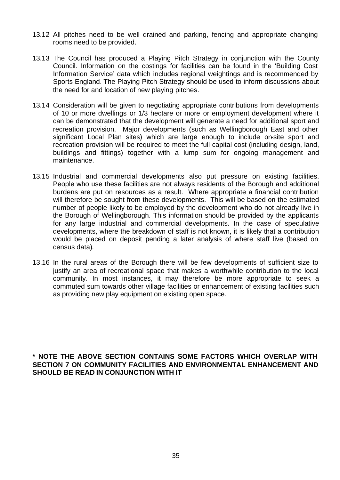- 13.12 All pitches need to be well drained and parking, fencing and appropriate changing rooms need to be provided.
- 13.13 The Council has produced a Playing Pitch Strategy in conjunction with the County Council. Information on the costings for facilities can be found in the 'Building Cost Information Service' data which includes regional weightings and is recommended by Sports England. The Playing Pitch Strategy should be used to inform discussions about the need for and location of new playing pitches.
- 13.14 Consideration will be given to negotiating appropriate contributions from developments of 10 or more dwellings or 1/3 hectare or more or employment development where it can be demonstrated that the development will generate a need for additional sport and recreation provision. Major developments (such as Wellingborough East and other significant Local Plan sites) which are large enough to include on-site sport and recreation provision will be required to meet the full capital cost (including design, land, buildings and fittings) together with a lump sum for ongoing management and maintenance.
- 13.15 Industrial and commercial developments also put pressure on existing facilities. People who use these facilities are not always residents of the Borough and additional burdens are put on resources as a result. Where appropriate a financial contribution will therefore be sought from these developments. This will be based on the estimated number of people likely to be employed by the development who do not already live in the Borough of Wellingborough. This information should be provided by the applicants for any large industrial and commercial developments. In the case of speculative developments, where the breakdown of staff is not known, it is likely that a contribution would be placed on deposit pending a later analysis of where staff live (based on census data).
- 13.16 In the rural areas of the Borough there will be few developments of sufficient size to justify an area of recreational space that makes a worthwhile contribution to the local community. In most instances, it may therefore be more appropriate to seek a commuted sum towards other village facilities or enhancement of existing facilities such as providing new play equipment on existing open space.

**\* NOTE THE ABOVE SECTION CONTAINS SOME FACTORS WHICH OVERLAP WITH SECTION 7 ON COMMUNITY FACILITIES AND ENVIRONMENTAL ENHANCEMENT AND SHOULD BE READ IN CONJUNCTION WITH IT**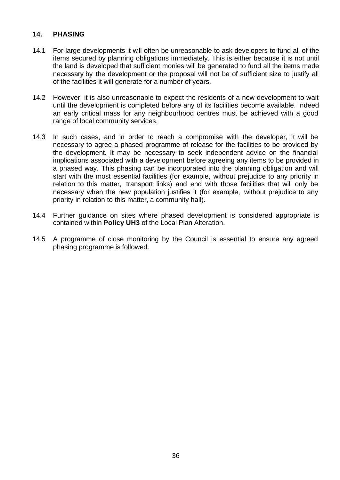#### **14. PHASING**

- 14.1 For large developments it will often be unreasonable to ask developers to fund all of the items secured by planning obligations immediately. This is either because it is not until the land is developed that sufficient monies will be generated to fund all the items made necessary by the development or the proposal will not be of sufficient size to justify all of the facilities it will generate for a number of years.
- 14.2 However, it is also unreasonable to expect the residents of a new development to wait until the development is completed before any of its facilities become available. Indeed an early critical mass for any neighbourhood centres must be achieved with a good range of local community services.
- 14.3 In such cases, and in order to reach a compromise with the developer, it will be necessary to agree a phased programme of release for the facilities to be provided by the development. It may be necessary to seek independent advice on the financial implications associated with a development before agreeing any items to be provided in a phased way. This phasing can be incorporated into the planning obligation and will start with the most essential facilities (for example, without prejudice to any priority in relation to this matter, transport links) and end with those facilities that will only be necessary when the new population justifies it (for example, without prejudice to any priority in relation to this matter, a community hall).
- 14.4 Further guidance on sites where phased development is considered appropriate is contained within **Policy UH3** of the Local Plan Alteration.
- 14.5 A programme of close monitoring by the Council is essential to ensure any agreed phasing programme is followed.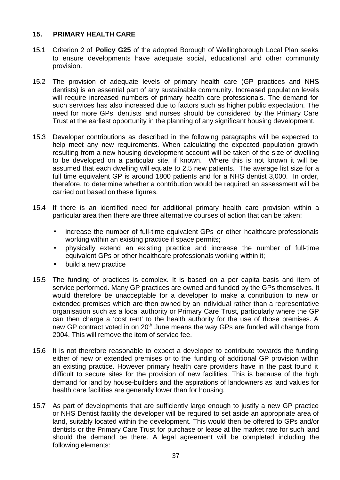#### **15. PRIMARY HEALTH CARE**

- 15.1 Criterion 2 of **Policy G25** of the adopted Borough of Wellingborough Local Plan seeks to ensure developments have adequate social, educational and other community provision.
- 15.2 The provision of adequate levels of primary health care (GP practices and NHS dentists) is an essential part of any sustainable community. Increased population levels will require increased numbers of primary health care professionals. The demand for such services has also increased due to factors such as higher public expectation. The need for more GPs, dentists and nurses should be considered by the Primary Care Trust at the earliest opportunity in the planning of any significant housing development.
- 15.3 Developer contributions as described in the following paragraphs will be expected to help meet any new requirements. When calculating the expected population growth resulting from a new housing development account will be taken of the size of dwelling to be developed on a particular site, if known. Where this is not known it will be assumed that each dwelling will equate to 2.5 new patients. The average list size for a full time equivalent GP is around 1800 patients and for a NHS dentist 3,000. In order, therefore, to determine whether a contribution would be required an assessment will be carried out based on these figures.
- 15.4 If there is an identified need for additional primary health care provision within a particular area then there are three alternative courses of action that can be taken:
	- increase the number of full-time equivalent GPs or other healthcare professionals working within an existing practice if space permits;
	- physically extend an existing practice and increase the number of full-time equivalent GPs or other healthcare professionals working within it;
	- build a new practice
- 15.5 The funding of practices is complex. It is based on a per capita basis and item of service performed. Many GP practices are owned and funded by the GPs themselves. It would therefore be unacceptable for a developer to make a contribution to new or extended premises which are then owned by an individual rather than a representative organisation such as a local authority or Primary Care Trust, particularly where the GP can then charge a 'cost rent' to the health authority for the use of those premises. A new GP contract voted in on  $20<sup>th</sup>$  June means the way GPs are funded will change from 2004. This will remove the item of service fee.
- 15.6 It is not therefore reasonable to expect a developer to contribute towards the funding either of new or extended premises or to the funding of additional GP provision within an existing practice. However primary health care providers have in the past found it difficult to secure sites for the provision of new facilities. This is because of the high demand for land by house-builders and the aspirations of landowners as land values for health care facilities are generally lower than for housing.
- 15.7 As part of developments that are sufficiently large enough to justify a new GP practice or NHS Dentist facility the developer will be required to set aside an appropriate area of land, suitably located within the development. This would then be offered to GPs and/or dentists or the Primary Care Trust for purchase or lease at the market rate for such land should the demand be there. A legal agreement will be completed including the following elements: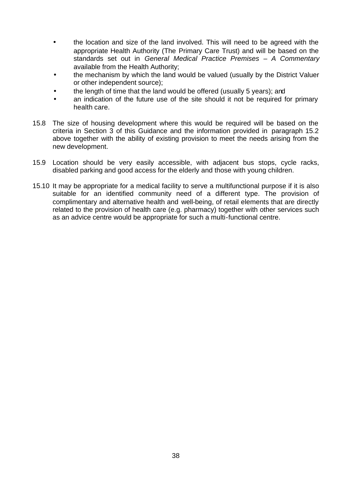- the location and size of the land involved. This will need to be agreed with the appropriate Health Authority (The Primary Care Trust) and will be based on the standards set out in *General Medical Practice Premises – A Commentary* available from the Health Authority;
- the mechanism by which the land would be valued (usually by the District Valuer or other independent source);
- the length of time that the land would be offered (usually 5 years); and
- an indication of the future use of the site should it not be required for primary health care.
- 15.8 The size of housing development where this would be required will be based on the criteria in Section 3 of this Guidance and the information provided in paragraph 15.2 above together with the ability of existing provision to meet the needs arising from the new development.
- 15.9 Location should be very easily accessible, with adjacent bus stops, cycle racks, disabled parking and good access for the elderly and those with young children.
- 15.10 It may be appropriate for a medical facility to serve a multifunctional purpose if it is also suitable for an identified community need of a different type. The provision of complimentary and alternative health and well-being, of retail elements that are directly related to the provision of health care (e.g. pharmacy) together with other services such as an advice centre would be appropriate for such a multi-functional centre.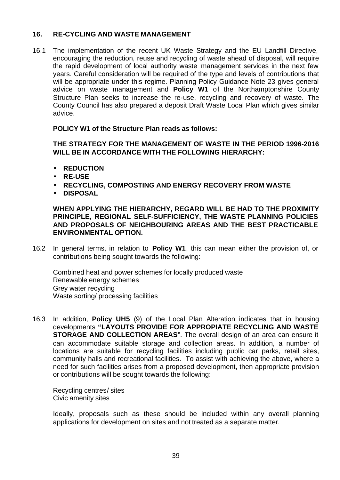#### **16. RE-CYCLING AND WASTE MANAGEMENT**

16.1 The implementation of the recent UK Waste Strategy and the EU Landfill Directive, encouraging the reduction, reuse and recycling of waste ahead of disposal, will require the rapid development of local authority waste management services in the next few years. Careful consideration will be required of the type and levels of contributions that will be appropriate under this regime. Planning Policy Guidance Note 23 gives general advice on waste management and **Policy W1** of the Northamptonshire County Structure Plan seeks to increase the re-use, recycling and recovery of waste. The County Council has also prepared a deposit Draft Waste Local Plan which gives similar advice.

#### **POLICY W1 of the Structure Plan reads as follows:**

**THE STRATEGY FOR THE MANAGEMENT OF WASTE IN THE PERIOD 1996-2016 WILL BE IN ACCORDANCE WITH THE FOLLOWING HIERARCHY:**

- **REDUCTION**
- **RE-USE**
- **RECYCLING, COMPOSTING AND ENERGY RECOVERY FROM WASTE**
- **DISPOSAL**

**WHEN APPLYING THE HIERARCHY, REGARD WILL BE HAD TO THE PROXIMITY PRINCIPLE, REGIONAL SELF-SUFFICIENCY, THE WASTE PLANNING POLICIES AND PROPOSALS OF NEIGHBOURING AREAS AND THE BEST PRACTICABLE ENVIRONMENTAL OPTION.**

16.2 In general terms, in relation to **Policy W1**, this can mean either the provision of, or contributions being sought towards the following:

Combined heat and power schemes for locally produced waste Renewable energy schemes Grey water recycling Waste sorting/ processing facilities

16.3 In addition, **Policy UH5** (9) of the Local Plan Alteration indicates that in housing developments **"LAYOUTS PROVIDE FOR APPROPIATE RECYCLING AND WASTE STORAGE AND COLLECTION AREAS**". The overall design of an area can ensure it can accommodate suitable storage and collection areas. In addition, a number of locations are suitable for recycling facilities including public car parks, retail sites, community halls and recreational facilities. To assist with achieving the above, where a need for such facilities arises from a proposed development, then appropriate provision or contributions will be sought towards the following:

Recycling centres/ sites Civic amenity sites

Ideally, proposals such as these should be included within any overall planning applications for development on sites and not treated as a separate matter.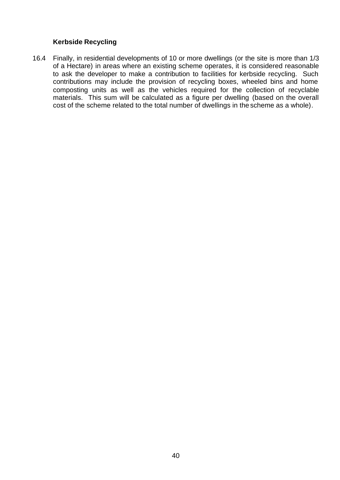#### **Kerbside Recycling**

16.4 Finally, in residential developments of 10 or more dwellings (or the site is more than 1/3 of a Hectare) in areas where an existing scheme operates, it is considered reasonable to ask the developer to make a contribution to facilities for kerbside recycling. Such contributions may include the provision of recycling boxes, wheeled bins and home composting units as well as the vehicles required for the collection of recyclable materials. This sum will be calculated as a figure per dwelling (based on the overall cost of the scheme related to the total number of dwellings in the scheme as a whole).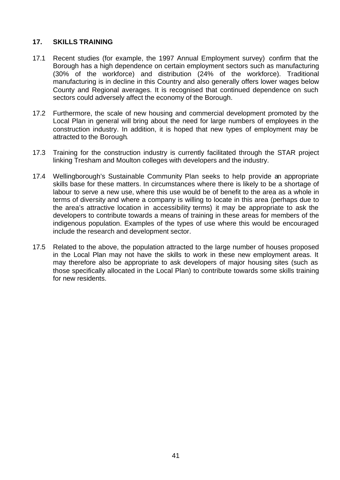#### **17. SKILLS TRAINING**

- 17.1 Recent studies (for example, the 1997 Annual Employment survey) confirm that the Borough has a high dependence on certain employment sectors such as manufacturing (30% of the workforce) and distribution (24% of the workforce). Traditional manufacturing is in decline in this Country and also generally offers lower wages below County and Regional averages. It is recognised that continued dependence on such sectors could adversely affect the economy of the Borough.
- 17.2 Furthermore, the scale of new housing and commercial development promoted by the Local Plan in general will bring about the need for large numbers of employees in the construction industry. In addition, it is hoped that new types of employment may be attracted to the Borough.
- 17.3 Training for the construction industry is currently facilitated through the STAR project linking Tresham and Moulton colleges with developers and the industry.
- 17.4 Wellingborough's Sustainable Community Plan seeks to help provide an appropriate skills base for these matters. In circumstances where there is likely to be a shortage of labour to serve a new use, where this use would be of benefit to the area as a whole in terms of diversity and where a company is willing to locate in this area (perhaps due to the area's attractive location in accessibility terms) it may be appropriate to ask the developers to contribute towards a means of training in these areas for members of the indigenous population. Examples of the types of use where this would be encouraged include the research and development sector.
- 17.5 Related to the above, the population attracted to the large number of houses proposed in the Local Plan may not have the skills to work in these new employment areas. It may therefore also be appropriate to ask developers of major housing sites (such as those specifically allocated in the Local Plan) to contribute towards some skills training for new residents.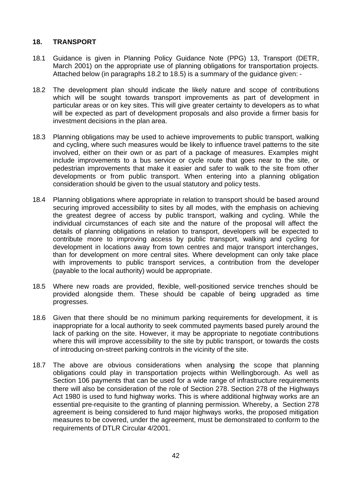#### **18. TRANSPORT**

- 18.1 Guidance is given in Planning Policy Guidance Note (PPG) 13, Transport (DETR, March 2001) on the appropriate use of planning obligations for transportation projects. Attached below (in paragraphs 18.2 to 18.5) is a summary of the guidance given: -
- 18.2 The development plan should indicate the likely nature and scope of contributions which will be sought towards transport improvements as part of development in particular areas or on key sites. This will give greater certainty to developers as to what will be expected as part of development proposals and also provide a firmer basis for investment decisions in the plan area.
- 18.3 Planning obligations may be used to achieve improvements to public transport, walking and cycling, where such measures would be likely to influence travel patterns to the site involved, either on their own or as part of a package of measures. Examples might include improvements to a bus service or cycle route that goes near to the site, or pedestrian improvements that make it easier and safer to walk to the site from other developments or from public transport. When entering into a planning obligation consideration should be given to the usual statutory and policy tests.
- 18.4 Planning obligations where appropriate in relation to transport should be based around securing improved accessibility to sites by all modes, with the emphasis on achieving the greatest degree of access by public transport, walking and cycling. While the individual circumstances of each site and the nature of the proposal will affect the details of planning obligations in relation to transport, developers will be expected to contribute more to improving access by public transport, walking and cycling for development in locations away from town centres and maior transport interchanges. than for development on more central sites. Where development can only take place with improvements to public transport services, a contribution from the developer (payable to the local authority) would be appropriate.
- 18.5 Where new roads are provided, flexible, well-positioned service trenches should be provided alongside them. These should be capable of being upgraded as time progresses.
- 18.6 Given that there should be no minimum parking requirements for development, it is inappropriate for a local authority to seek commuted payments based purely around the lack of parking on the site. However, it may be appropriate to negotiate contributions where this will improve accessibility to the site by public transport, or towards the costs of introducing on-street parking controls in the vicinity of the site.
- 18.7 The above are obvious considerations when analysing the scope that planning obligations could play in transportation projects within Wellingborough. As well as Section 106 payments that can be used for a wide range of infrastructure requirements there will also be consideration of the role of Section 278. Section 278 of the Highways Act 1980 is used to fund highway works. This is where additional highway works are an essential pre-requisite to the granting of planning permission. Whereby, a Section 278 agreement is being considered to fund major highways works, the proposed mitigation measures to be covered, under the agreement, must be demonstrated to conform to the requirements of DTLR Circular 4/2001.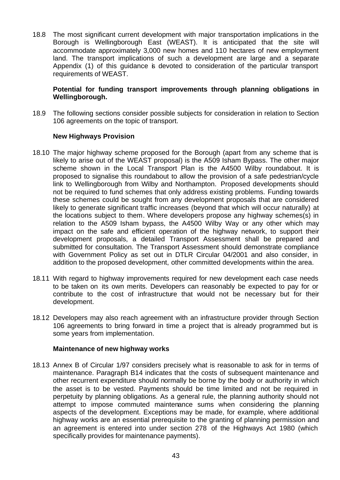18.8 The most significant current development with major transportation implications in the Borough is Wellingborough East (WEAST). It is anticipated that the site will accommodate approximately 3,000 new homes and 110 hectares of new employment land. The transport implications of such a development are large and a separate Appendix (1) of this guidance is devoted to consideration of the particular transport requirements of WEAST.

#### **Potential for funding transport improvements through planning obligations in Wellingborough.**

18.9 The following sections consider possible subjects for consideration in relation to Section 106 agreements on the topic of transport.

#### **New Highways Provision**

- 18.10 The major highway scheme proposed for the Borough (apart from any scheme that is likely to arise out of the WEAST proposal) is the A509 Isham Bypass. The other major scheme shown in the Local Transport Plan is the A4500 Wilby roundabout. It is proposed to signalise this roundabout to allow the provision of a safe pedestrian/cycle link to Wellingborough from Wilby and Northampton. Proposed developments should not be required to fund schemes that only address existing problems. Funding towards these schemes could be sought from any development proposals that are considered likely to generate significant traffic increases (beyond that which will occur naturally) at the locations subject to them. Where developers propose any highway schemes(s) in relation to the A509 Isham bypass, the A4500 Wilby Way or any other which may impact on the safe and efficient operation of the highway network, to support their development proposals, a detailed Transport Assessment shall be prepared and submitted for consultation. The Transport Assessment should demonstrate compliance with Government Policy as set out in DTLR Circular 04/2001 and also consider, in addition to the proposed development, other committed developments within the area.
- 18.11 With regard to highway improvements required for new development each case needs to be taken on its own merits. Developers can reasonably be expected to pay for or contribute to the cost of infrastructure that would not be necessary but for their development.
- 18.12 Developers may also reach agreement with an infrastructure provider through Section 106 agreements to bring forward in time a project that is already programmed but is some years from implementation.

#### **Maintenance of new highway works**

18.13 Annex B of Circular 1/97 considers precisely what is reasonable to ask for in terms of maintenance. Paragraph B14 indicates that the costs of subsequent maintenance and other recurrent expenditure should normally be borne by the body or authority in which the asset is to be vested. Payments should be time limited and not be required in perpetuity by planning obligations. As a general rule, the planning authority should not attempt to impose commuted maintenance sums when considering the planning aspects of the development. Exceptions may be made, for example, where additional highway works are an essential prerequisite to the granting of planning permission and an agreement is entered into under section 278 of the Highways Act 1980 (which specifically provides for maintenance payments).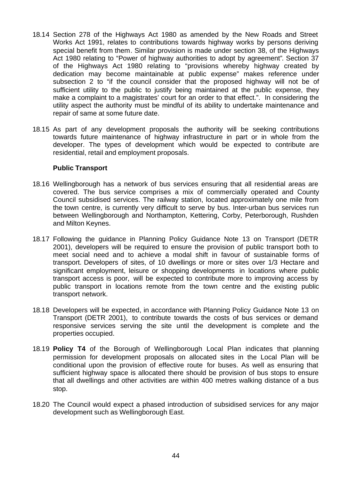- 18.14 Section 278 of the Highways Act 1980 as amended by the New Roads and Street Works Act 1991, relates to contributions towards highway works by persons deriving special benefit from them. Similar provision is made under section 38, of the Highways Act 1980 relating to "Power of highway authorities to adopt by agreement". Section 37 of the Highways Act 1980 relating to "provisions whereby highway created by dedication may become maintainable at public expense" makes reference under subsection 2 to "if the council consider that the proposed highway will not be of sufficient utility to the public to justify being maintained at the public expense, they make a complaint to a magistrates' court for an order to that effect.". In considering the utility aspect the authority must be mindful of its ability to undertake maintenance and repair of same at some future date.
- 18.15 As part of any development proposals the authority will be seeking contributions towards future maintenance of highway infrastructure in part or in whole from the developer. The types of development which would be expected to contribute are residential, retail and employment proposals.

#### **Public Transport**

- 18.16 Wellingborough has a network of bus services ensuring that all residential areas are covered. The bus service comprises a mix of commercially operated and County Council subsidised services. The railway station, located approximately one mile from the town centre, is currently very difficult to serve by bus. Inter-urban bus services run between Wellingborough and Northampton, Kettering, Corby, Peterborough, Rushden and Milton Keynes.
- 18.17 Following the guidance in Planning Policy Guidance Note 13 on Transport (DETR 2001), developers will be required to ensure the provision of public transport both to meet social need and to achieve a modal shift in favour of sustainable forms of transport. Developers of sites, of 10 dwellings or more or sites over 1/3 Hectare and significant employment, leisure or shopping developments in locations where public transport access is poor, will be expected to contribute more to improving access by public transport in locations remote from the town centre and the existing public transport network.
- 18.18 Developers will be expected, in accordance with Planning Policy Guidance Note 13 on Transport (DETR 2001), to contribute towards the costs of bus services or demand responsive services serving the site until the development is complete and the properties occupied.
- 18.19 **Policy T4** of the Borough of Wellingborough Local Plan indicates that planning permission for development proposals on allocated sites in the Local Plan will be conditional upon the provision of effective route for buses. As well as ensuring that sufficient highway space is allocated there should be provision of bus stops to ensure that all dwellings and other activities are within 400 metres walking distance of a bus stop.
- 18.20 The Council would expect a phased introduction of subsidised services for any major development such as Wellingborough East.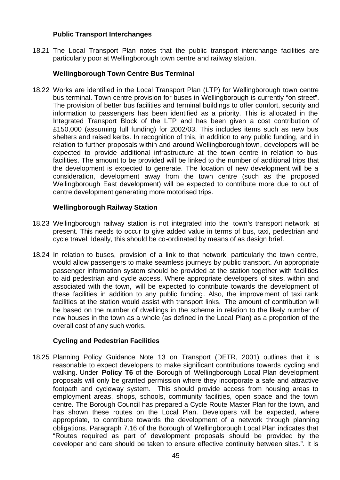#### **Public Transport Interchanges**

18.21 The Local Transport Plan notes that the public transport interchange facilities are particularly poor at Wellingborough town centre and railway station.

#### **Wellingborough Town Centre Bus Terminal**

18.22 Works are identified in the Local Transport Plan (LTP) for Wellingborough town centre bus terminal. Town centre provision for buses in Wellingborough is currently "on street". The provision of better bus facilities and terminal buildings to offer comfort, security and information to passengers has been identified as a priority. This is allocated in the Integrated Transport Block of the LTP and has been given a cost contribution of £150,000 (assuming full funding) for 2002/03. This includes items such as new bus shelters and raised kerbs. In recognition of this, in addition to any public funding, and in relation to further proposals within and around Wellingborough town, developers will be expected to provide additional infrastructure at the town centre in relation to bus facilities. The amount to be provided will be linked to the number of additional trips that the development is expected to generate. The location of new development will be a consideration, development away from the town centre (such as the proposed Wellingborough East development) will be expected to contribute more due to out of centre development generating more motorised trips.

#### **Wellingborough Railway Station**

- 18.23 Wellingborough railway station is not integrated into the town's transport network at present. This needs to occur to give added value in terms of bus, taxi, pedestrian and cycle travel. Ideally, this should be co-ordinated by means of as design brief.
- 18.24 In relation to buses, provision of a link to that network, particularly the town centre, would allow passengers to make seamless journeys by public transport. An appropriate passenger information system should be provided at the station together with facilities to aid pedestrian and cycle access. Where appropriate developers of sites, within and associated with the town, will be expected to contribute towards the development of these facilities in addition to any public funding. Also, the improvement of taxi rank facilities at the station would assist with transport links. The amount of contribution will be based on the number of dwellings in the scheme in relation to the likely number of new houses in the town as a whole (as defined in the Local Plan) as a proportion of the overall cost of any such works.

#### **Cycling and Pedestrian Facilities**

18.25 Planning Policy Guidance Note 13 on Transport (DETR, 2001) outlines that it is reasonable to expect developers to make significant contributions towards cycling and walking. Under **Policy T6** of the Borough of Wellingborough Local Plan development proposals will only be granted permission where they incorporate a safe and attractive footpath and cycleway system. This should provide access from housing areas to employment areas, shops, schools, community facilities, open space and the town centre. The Borough Council has prepared a Cycle Route Master Plan for the town, and has shown these routes on the Local Plan. Developers will be expected, where appropriate, to contribute towards the development of a network through planning obligations. Paragraph 7.16 of the Borough of Wellingborough Local Plan indicates that "Routes required as part of development proposals should be provided by the developer and care should be taken to ensure effective continuity between sites.". It is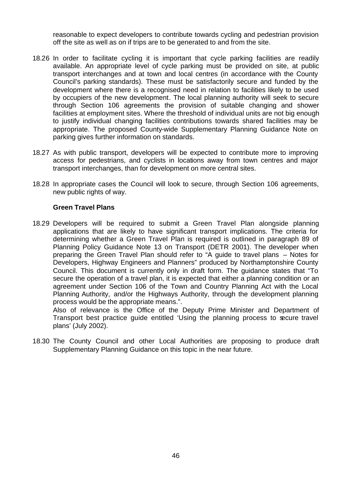reasonable to expect developers to contribute towards cycling and pedestrian provision off the site as well as on if trips are to be generated to and from the site.

- 18.26 In order to facilitate cycling it is important that cycle parking facilities are readily available. An appropriate level of cycle parking must be provided on site, at public transport interchanges and at town and local centres (in accordance with the County Council's parking standards). These must be satisfactorily secure and funded by the development where there is a recognised need in relation to facilities likely to be used by occupiers of the new development. The local planning authority will seek to secure through Section 106 agreements the provision of suitable changing and shower facilities at employment sites. Where the threshold of individual units are not big enough to justify individual changing facilities contributions towards shared facilities may be appropriate. The proposed County-wide Supplementary Planning Guidance Note on parking gives further information on standards.
- 18.27 As with public transport, developers will be expected to contribute more to improving access for pedestrians, and cyclists in locations away from town centres and major transport interchanges, than for development on more central sites.
- 18.28 In appropriate cases the Council will look to secure, through Section 106 agreements, new public rights of way.

#### **Green Travel Plans**

18.29 Developers will be required to submit a Green Travel Plan alongside planning applications that are likely to have significant transport implications. The criteria for determining whether a Green Travel Plan is required is outlined in paragraph 89 of Planning Policy Guidance Note 13 on Transport (DETR 2001). The developer when preparing the Green Travel Plan should refer to "A guide to travel plans – Notes for Developers, Highway Engineers and Planners" produced by Northamptonshire County Council. This document is currently only in draft form. The guidance states that "To secure the operation of a travel plan, it is expected that either a planning condition or an agreement under Section 106 of the Town and Country Planning Act with the Local Planning Authority, and/or the Highways Authority, through the development planning process would be the appropriate means.".

Also of relevance is the Office of the Deputy Prime Minister and Department of Transport best practice guide entitled 'Using the planning process to secure travel plans' (July 2002).

18.30 The County Council and other Local Authorities are proposing to produce draft Supplementary Planning Guidance on this topic in the near future.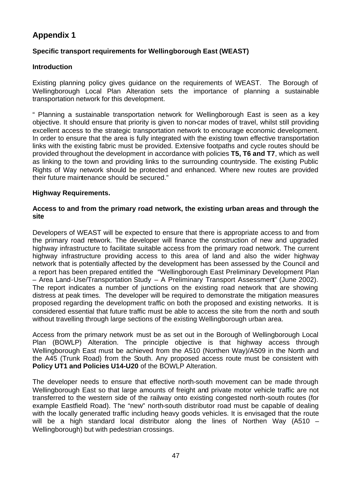# **Appendix 1**

#### **Specific transport requirements for Wellingborough East (WEAST)**

#### **Introduction**

Existing planning policy gives guidance on the requirements of WEAST. The Borough of Wellingborough Local Plan Alteration sets the importance of planning a sustainable transportation network for this development.

" Planning a sustainable transportation network for Wellingborough East is seen as a key objective. It should ensure that priority is given to non-car modes of travel, whilst still providing excellent access to the strategic transportation network to encourage economic development. In order to ensure that the area is fully integrated with the existing town effective transportation links with the existing fabric must be provided. Extensive footpaths and cycle routes should be provided throughout the development in accordance with policies **T5, T6 and T7**, which as well as linking to the town and providing links to the surrounding countryside. The existing Public Rights of Way network should be protected and enhanced. Where new routes are provided their future maintenance should be secured."

#### **Highway Requirements.**

#### **Access to and from the primary road network, the existing urban areas and through the site**

Developers of WEAST will be expected to ensure that there is appropriate access to and from the primary road network. The developer will finance the construction of new and upgraded highway infrastructure to facilitate suitable access from the primary road network. The current highway infrastructure providing access to this area of land and also the wider highway network that is potentially affected by the development has been assessed by the Council and a report has been prepared entitled the "Wellingborough East Preliminary Development Plan – Area Land-Use/Transportation Study – A Preliminary Transport Assessment" (June 2002). The report indicates a number of junctions on the existing road network that are showing distress at peak times. The developer will be required to demonstrate the mitigation measures proposed regarding the development traffic on both the proposed and existing networks. It is considered essential that future traffic must be able to access the site from the north and south without travelling through large sections of the existing Wellingborough urban area.

Access from the primary network must be as set out in the Borough of Wellingborough Local Plan (BOWLP) Alteration. The principle objective is that highway access through Wellingborough East must be achieved from the A510 (Northen Way)/A509 in the North and the A45 (Trunk Road) from the South. Any proposed access route must be consistent with **Policy UT1 and Policies U14-U20** of the BOWLP Alteration.

The developer needs to ensure that effective north-south movement can be made through Wellingborough East so that large amounts of freight and private motor vehicle traffic are not transferred to the western side of the railway onto existing congested north-south routes (for example Eastfield Road). The "new" north-south distributor road must be capable of dealing with the locally generated traffic including heavy goods vehicles. It is envisaged that the route will be a high standard local distributor along the lines of Northen Way (A510 – Wellingborough) but with pedestrian crossings.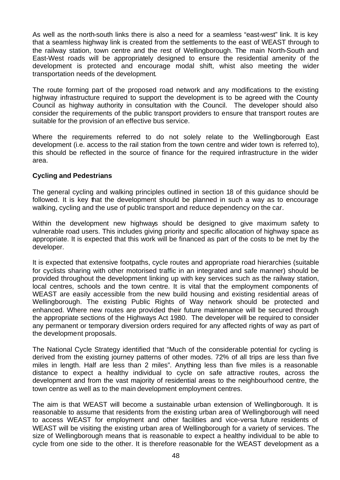As well as the north-south links there is also a need for a seamless "east-west" link. It is key that a seamless highway link is created from the settlements to the east of WEAST through to the railway station, town centre and the rest of Wellingborough. The main North-South and East-West roads will be appropriately designed to ensure the residential amenity of the development is protected and encourage modal shift, whist also meeting the wider transportation needs of the development.

The route forming part of the proposed road network and any modifications to the existing highway infrastructure required to support the development is to be agreed with the County Council as highway authority in consultation with the Council. The developer should also consider the requirements of the public transport providers to ensure that transport routes are suitable for the provision of an effective bus service.

Where the requirements referred to do not solely relate to the Wellingborough East development (i.e. access to the rail station from the town centre and wider town is referred to), this should be reflected in the source of finance for the required infrastructure in the wider area.

#### **Cycling and Pedestrians**

The general cycling and walking principles outlined in section 18 of this guidance should be followed. It is key that the development should be planned in such a way as to encourage walking, cycling and the use of public transport and reduce dependency on the car.

Within the development new highways should be designed to give maximum safety to vulnerable road users. This includes giving priority and specific allocation of highway space as appropriate. It is expected that this work will be financed as part of the costs to be met by the developer.

It is expected that extensive footpaths, cycle routes and appropriate road hierarchies (suitable for cyclists sharing with other motorised traffic in an integrated and safe manner) should be provided throughout the development linking up with key services such as the railway station, local centres, schools and the town centre. It is vital that the employment components of WEAST are easily accessible from the new build housing and existing residential areas of Wellingborough. The existing Public Rights of Way network should be protected and enhanced. Where new routes are provided their future maintenance will be secured through the appropriate sections of the Highways Act 1980. The developer will be required to consider any permanent or temporary diversion orders required for any affected rights of way as part of the development proposals.

The National Cycle Strategy identified that "Much of the considerable potential for cycling is derived from the existing journey patterns of other modes. 72% of all trips are less than five miles in length. Half are less than 2 miles". Anything less than five miles is a reasonable distance to expect a healthy individual to cycle on safe attractive routes, across the development and from the vast majority of residential areas to the neighbourhood centre, the town centre as well as to the main development employment centres.

The aim is that WEAST will become a sustainable urban extension of Wellingborough. It is reasonable to assume that residents from the existing urban area of Wellingborough will need to access WEAST for employment and other facilities and vice-versa future residents of WEAST will be visiting the existing urban area of Wellingborough for a variety of services. The size of Wellingborough means that is reasonable to expect a healthy individual to be able to cycle from one side to the other. It is therefore reasonable for the WEAST development as a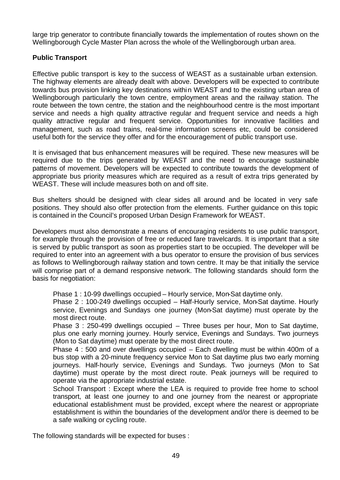large trip generator to contribute financially towards the implementation of routes shown on the Wellingborough Cycle Master Plan across the whole of the Wellingborough urban area.

#### **Public Transport**

Effective public transport is key to the success of WEAST as a sustainable urban extension. The highway elements are already dealt with above. Developers will be expected to contribute towards bus provision linking key destinations within WEAST and to the existing urban area of Wellingborough particularly the town centre, employment areas and the railway station. The route between the town centre, the station and the neighbourhood centre is the most important service and needs a high quality attractive regular and frequent service and needs a high quality attractive regular and frequent service. Opportunities for innovative facilities and management, such as road trains, real-time information screens etc, could be considered useful both for the service they offer and for the encouragement of public transport use.

It is envisaged that bus enhancement measures will be required. These new measures will be required due to the trips generated by WEAST and the need to encourage sustainable patterns of movement. Developers will be expected to contribute towards the development of appropriate bus priority measures which are required as a result of extra trips generated by WEAST. These will include measures both on and off site.

Bus shelters should be designed with clear sides all around and be located in very safe positions. They should also offer protection from the elements. Further guidance on this topic is contained in the Council's proposed Urban Design Framework for WEAST.

Developers must also demonstrate a means of encouraging residents to use public transport, for example through the provision of free or reduced fare travelcards. It is important that a site is served by public transport as soon as properties start to be occupied. The developer will be required to enter into an agreement with a bus operator to ensure the provision of bus services as follows to Wellingborough railway station and town centre. It may be that initially the service will comprise part of a demand responsive network. The following standards should form the basis for negotiation:

Phase 1 : 10-99 dwellings occupied – Hourly service, Mon-Sat daytime only.

Phase 2 : 100-249 dwellings occupied – Half-Hourly service, Mon-Sat daytime. Hourly service, Evenings and Sundays one journey (Mon-Sat daytime) must operate by the most direct route.

Phase 3 : 250-499 dwellings occupied – Three buses per hour, Mon to Sat daytime, plus one early morning journey. Hourly service, Evenings and Sundays. Two journeys (Mon to Sat daytime) must operate by the most direct route.

Phase 4 : 500 and over dwellings occupied – Each dwelling must be within 400m of a bus stop with a 20-minute frequency service Mon to Sat daytime plus two early morning journeys. Half-hourly service, Evenings and Sundays. Two journeys (Mon to Sat daytime) must operate by the most direct route. Peak journeys will be required to operate via the appropriate industrial estate.

School Transport : Except where the LEA is required to provide free home to school transport, at least one journey to and one journey from the nearest or appropriate educational establishment must be provided, except where the nearest or appropriate establishment is within the boundaries of the development and/or there is deemed to be a safe walking or cycling route.

The following standards will be expected for buses :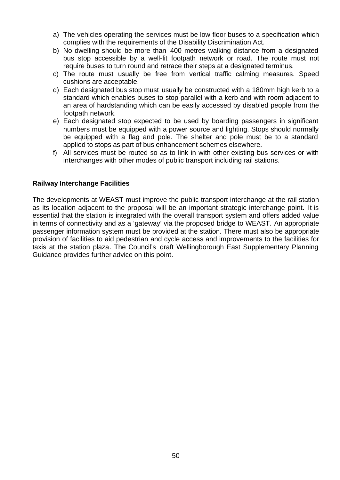- a) The vehicles operating the services must be low floor buses to a specification which complies with the requirements of the Disability Discrimination Act.
- b) No dwelling should be more than 400 metres walking distance from a designated bus stop accessible by a well-lit footpath network or road. The route must not require buses to turn round and retrace their steps at a designated terminus.
- c) The route must usually be free from vertical traffic calming measures. Speed cushions are acceptable.
- d) Each designated bus stop must usually be constructed with a 180mm high kerb to a standard which enables buses to stop parallel with a kerb and with room adjacent to an area of hardstanding which can be easily accessed by disabled people from the footpath network.
- e) Each designated stop expected to be used by boarding passengers in significant numbers must be equipped with a power source and lighting. Stops should normally be equipped with a flag and pole. The shelter and pole must be to a standard applied to stops as part of bus enhancement schemes elsewhere.
- f) All services must be routed so as to link in with other existing bus services or with interchanges with other modes of public transport including rail stations.

#### **Railway Interchange Facilities**

The developments at WEAST must improve the public transport interchange at the rail station as its location adjacent to the proposal will be an important strategic interchange point. It is essential that the station is integrated with the overall transport system and offers added value in terms of connectivity and as a 'gateway' via the proposed bridge to WEAST. An appropriate passenger information system must be provided at the station. There must also be appropriate provision of facilities to aid pedestrian and cycle access and improvements to the facilities for taxis at the station plaza. The Council's draft Wellingborough East Supplementary Planning Guidance provides further advice on this point.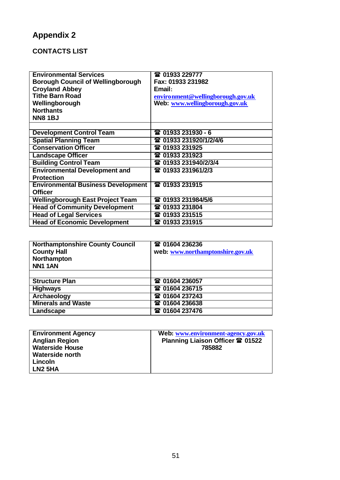# **Appendix 2**

# **CONTACTS LIST**

| <b>Environmental Services</b>             |                                   |
|-------------------------------------------|-----------------------------------|
|                                           | 雷 01933 229777                    |
| <b>Borough Council of Wellingborough</b>  | Fax: 01933 231982                 |
| <b>Croyland Abbey</b>                     | Email:                            |
| <b>Tithe Barn Road</b>                    | environment@wellingborough.gov.uk |
| Wellingborough                            | Web: www.wellingborough.gov.uk    |
| <b>Northants</b>                          |                                   |
| <b>NN81BJ</b>                             |                                   |
|                                           |                                   |
| <b>Development Control Team</b>           | <b>雷 01933 231930 - 6</b>         |
| <b>Spatial Planning Team</b>              | 雷 01933 231920/1/2/4/6            |
| <b>Conservation Officer</b>               | 雷 01933 231925                    |
| <b>Landscape Officer</b>                  | 雷 01933 231923                    |
| <b>Building Control Team</b>              | 雷 01933 231940/2/3/4              |
| <b>Environmental Development and</b>      | 雷 01933 231961/2/3                |
| <b>Protection</b>                         |                                   |
| <b>Environmental Business Development</b> | 雷 01933 231915                    |
| <b>Officer</b>                            |                                   |
| <b>Wellingborough East Project Team</b>   | 雷 01933 231984/5/6                |
| <b>Head of Community Development</b>      | 雷 01933 231804                    |
| <b>Head of Legal Services</b>             | 雷 01933 231515                    |
| <b>Head of Economic Development</b>       | 雷 01933 231915                    |

| <b>Northamptonshire County Council</b><br><b>County Hall</b><br>Northampton<br><b>NN1 1AN</b> | 雷 01604 236236<br>web: www.northamptonshire.gov.uk |
|-----------------------------------------------------------------------------------------------|----------------------------------------------------|
|                                                                                               |                                                    |
| <b>Structure Plan</b>                                                                         | <b>雷 01604 236057</b>                              |
| <b>Highways</b>                                                                               | 雷 01604 236715                                     |
| Archaeology                                                                                   | 雷 01604 237243                                     |
| <b>Minerals and Waste</b>                                                                     | <b>雷 01604 236638</b>                              |
| Landscape                                                                                     | <b>雷 01604 237476</b>                              |

| <b>Environment Agency</b> | Web: www.environment-agency.gov.uk      |
|---------------------------|-----------------------------------------|
| <b>Anglian Region</b>     | Planning Liaison Officer <b>雷 01522</b> |
| <b>Waterside House</b>    | 785882                                  |
| <b>Waterside north</b>    |                                         |
| Lincoln                   |                                         |
| LN <sub>2</sub> 5HA       |                                         |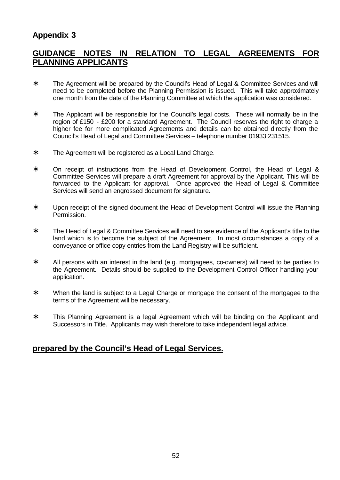# **Appendix 3**

## **GUIDANCE NOTES IN RELATION TO LEGAL AGREEMENTS FOR PLANNING APPLICANTS**

- ∗ The Agreement will be prepared by the Council's Head of Legal & Committee Services and will need to be completed before the Planning Permission is issued. This will take approximately one month from the date of the Planning Committee at which the application was considered.
- ∗ The Applicant will be responsible for the Council's legal costs. These will normally be in the region of £150 - £200 for a standard Agreement. The Council reserves the right to charge a higher fee for more complicated Agreements and details can be obtained directly from the Council's Head of Legal and Committee Services – telephone number 01933 231515.
- ∗ The Agreement will be registered as a Local Land Charge.
- ∗ On receipt of instructions from the Head of Development Control, the Head of Legal & Committee Services will prepare a draft Agreement for approval by the Applicant. This will be forwarded to the Applicant for approval. Once approved the Head of Legal & Committee Services will send an engrossed document for signature.
- ∗ Upon receipt of the signed document the Head of Development Control will issue the Planning Permission.
- ∗ The Head of Legal & Committee Services will need to see evidence of the Applicant's title to the land which is to become the subject of the Agreement. In most circumstances a copy of a conveyance or office copy entries from the Land Registry will be sufficient.
- ∗ All persons with an interest in the land (e.g. mortgagees, co-owners) will need to be parties to the Agreement. Details should be supplied to the Development Control Officer handling your application.
- ∗ When the land is subject to a Legal Charge or mortgage the consent of the mortgagee to the terms of the Agreement will be necessary.
- ∗ This Planning Agreement is a legal Agreement which will be binding on the Applicant and Successors in Title. Applicants may wish therefore to take independent legal advice.

### **prepared by the Council's Head of Legal Services.**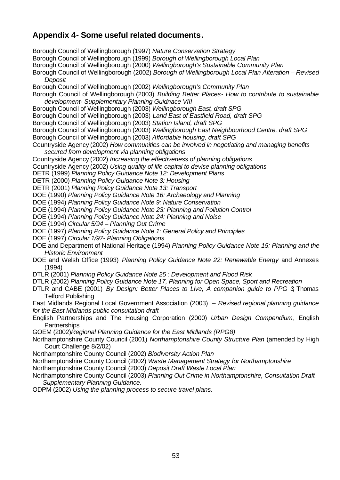# **Appendix 4- Some useful related documents.**

Borough Council of Wellingborough (1997) *Nature Conservation Strategy* Borough Council of Wellingborough (1999) *Borough of Wellingborough Local Plan* Borough Council of Wellingborough (2000) *Wellingborough's Sustainable Community Plan* Borough Council of Wellingborough (2002) *Borough of Wellingborough Local Plan Alteration – Revised Deposit* Borough Council of Wellingborough (2002) *Wellingborough's Community Plan* Borough Council of Wellingborough (2003) *Building Better Places- How to contribute to sustainable development- Supplementary Planning Guidnace VIII* Borough Council of Wellingborough (2003) *Wellingborough East, draft SPG* Borough Council of Wellingborough (2003) *Land East of Eastfield Road, draft SPG*  Borough Council of Wellingborough (2003) *Station Island, draft SPG* Borough Council of Wellingborough (2003) *Wellingborough East Neighbourhood Centre, draft SPG* Borough Council of Wellingborough (2003) *Affordable housing, draft SPG*  Countryside Agency (2002) *How communities can be involved in negotiating and managing benefits secured from development via planning obligations* Countryside Agency (2002) *Increasing the effectiveness of planning obligations* Countryside Agency (2002) *Using quality of life capital to devise planning obligations* DETR (1999) *Planning Policy Guidance Note 12: Development Plans* DETR (2000) *Planning Policy Guidance Note 3: Housing* DETR (2001) *Planning Policy Guidance Note 13: Transport*  DOE (1990) *Planning Policy Guidance Note 16: Archaeology and Planning* DOE (1994) *Planning Policy Guidance Note 9: Nature Conservation* DOE (1994) *Planning Policy Guidance Note 23: Planning and Pollution Control* DOE (1994) *Planning Policy Guidance Note 24: Planning and Noise* DOE (1994) *Circular 5/94 – Planning Out Crime* DOE (1997) *Planning Policy Guidance Note 1: General Policy and Principles* DOE (1997) *Circular 1/97- Planning Obligations* DOE and Department of National Heritage (1994) *Planning Policy Guidance Note 15: Planning and the Historic Environment* DOE and Welsh Office (1993) *Planning Policy Guidance Note 22: Renewable Energy* and Annexes (1994) DTLR (2001) *Planning Policy Guidance Note 25 : Development and Flood Risk* DTLR (2002) *Planning Policy Guidance Note 17, Planning for Open Space, Sport and Recreation* DTLR and CABE (2001) *By Design: Better Places to Live, A companion guide to PPG 3*, Thomas Telford Publishing East Midlands Regional Local Government Association (2003) – *Revised regional planning guidance for the East Midlands public consultation draft* English Partnerships and The Housing Corporation (2000) *Urban Design Compendium*, English **Partnerships** GOEM (2002)*Regional Planning Guidance for the East Midlands (RPG8)* Northamptonshire County Council (2001) *Northamptonshire County Structure Plan* (amended by High Court Challenge 8/2/02) Northamptonshire County Council (2002) *Biodiversity Action Plan* Northamptonshire County Council (2002) *Waste Management Strategy for Northamptonshire* Northamptonshire County Council (2003) *Deposit Draft Waste Local Plan* Northamptonshire County Council (2003) *Planning Out Crime in Northamptonshire, Consultation Draft Supplementary Planning Guidance.*  ODPM (2002) *Using the planning process to secure travel plans.*